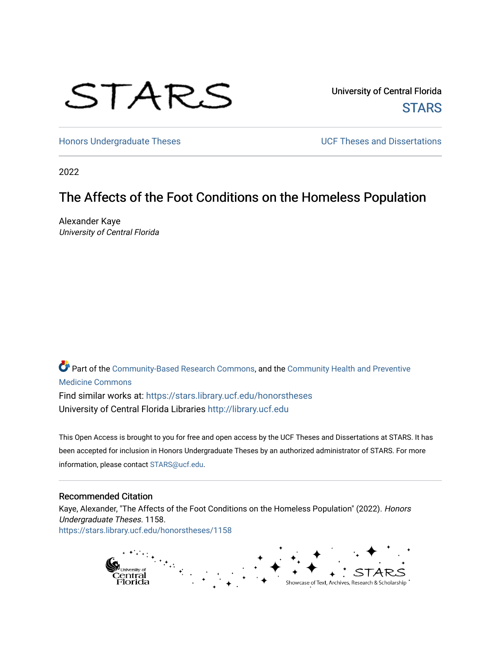# STARS

University of Central Florida **STARS** 

[Honors Undergraduate Theses](https://stars.library.ucf.edu/honorstheses) **Exercise 2018** UCF Theses and Dissertations

2022

# The Affects of the Foot Conditions on the Homeless Population

Alexander Kaye University of Central Florida

Part of the [Community-Based Research Commons](https://network.bepress.com/hgg/discipline/1047?utm_source=stars.library.ucf.edu%2Fhonorstheses%2F1158&utm_medium=PDF&utm_campaign=PDFCoverPages), and the [Community Health and Preventive](https://network.bepress.com/hgg/discipline/744?utm_source=stars.library.ucf.edu%2Fhonorstheses%2F1158&utm_medium=PDF&utm_campaign=PDFCoverPages)  [Medicine Commons](https://network.bepress.com/hgg/discipline/744?utm_source=stars.library.ucf.edu%2Fhonorstheses%2F1158&utm_medium=PDF&utm_campaign=PDFCoverPages) Find similar works at: <https://stars.library.ucf.edu/honorstheses> University of Central Florida Libraries [http://library.ucf.edu](http://library.ucf.edu/) 

This Open Access is brought to you for free and open access by the UCF Theses and Dissertations at STARS. It has been accepted for inclusion in Honors Undergraduate Theses by an authorized administrator of STARS. For more information, please contact [STARS@ucf.edu.](mailto:STARS@ucf.edu)

## Recommended Citation

Kaye, Alexander, "The Affects of the Foot Conditions on the Homeless Population" (2022). Honors Undergraduate Theses. 1158. [https://stars.library.ucf.edu/honorstheses/1158](https://stars.library.ucf.edu/honorstheses/1158?utm_source=stars.library.ucf.edu%2Fhonorstheses%2F1158&utm_medium=PDF&utm_campaign=PDFCoverPages)

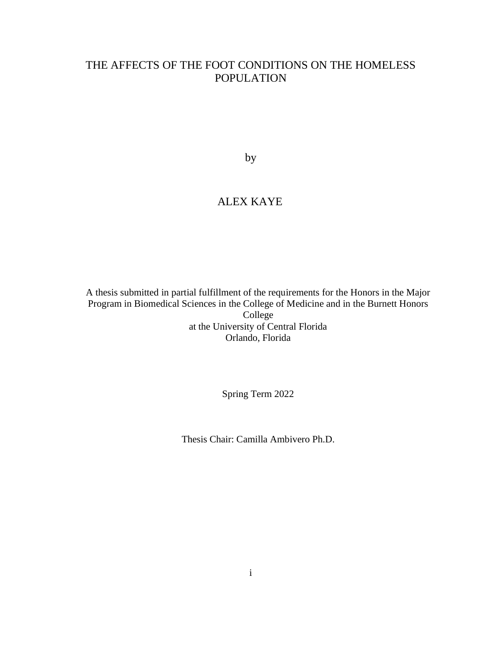# THE AFFECTS OF THE FOOT CONDITIONS ON THE HOMELESS POPULATION

by

# ALEX KAYE

A thesis submitted in partial fulfillment of the requirements for the Honors in the Major Program in Biomedical Sciences in the College of Medicine and in the Burnett Honors College at the University of Central Florida Orlando, Florida

Spring Term 2022

Thesis Chair: Camilla Ambivero Ph.D.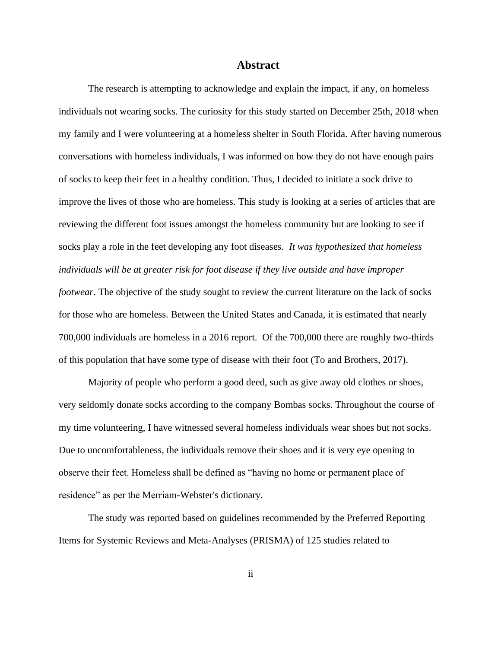## **Abstract**

The research is attempting to acknowledge and explain the impact, if any, on homeless individuals not wearing socks. The curiosity for this study started on December 25th, 2018 when my family and I were volunteering at a homeless shelter in South Florida. After having numerous conversations with homeless individuals, I was informed on how they do not have enough pairs of socks to keep their feet in a healthy condition. Thus, I decided to initiate a sock drive to improve the lives of those who are homeless. This study is looking at a series of articles that are reviewing the different foot issues amongst the homeless community but are looking to see if socks play a role in the feet developing any foot diseases. *It was hypothesized that homeless individuals will be at greater risk for foot disease if they live outside and have improper footwear*. The objective of the study sought to review the current literature on the lack of socks for those who are homeless. Between the United States and Canada, it is estimated that nearly 700,000 individuals are homeless in a 2016 report. Of the 700,000 there are roughly two-thirds of this population that have some type of disease with their foot (To and Brothers, 2017).

Majority of people who perform a good deed, such as give away old clothes or shoes, very seldomly donate socks according to the company Bombas socks. Throughout the course of my time volunteering, I have witnessed several homeless individuals wear shoes but not socks. Due to uncomfortableness, the individuals remove their shoes and it is very eye opening to observe their feet. Homeless shall be defined as "having no home or permanent place of residence" as per the Merriam-Webster's dictionary.

The study was reported based on guidelines recommended by the Preferred Reporting Items for Systemic Reviews and Meta-Analyses (PRISMA) of 125 studies related to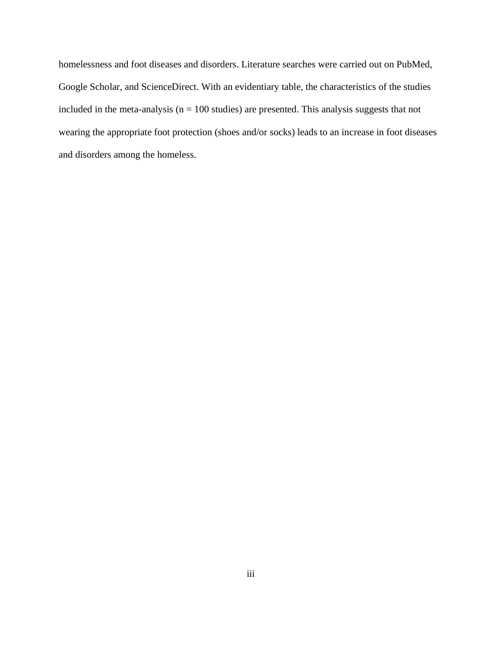homelessness and foot diseases and disorders. Literature searches were carried out on PubMed, Google Scholar, and ScienceDirect. With an evidentiary table, the characteristics of the studies included in the meta-analysis ( $n = 100$  studies) are presented. This analysis suggests that not wearing the appropriate foot protection (shoes and/or socks) leads to an increase in foot diseases and disorders among the homeless.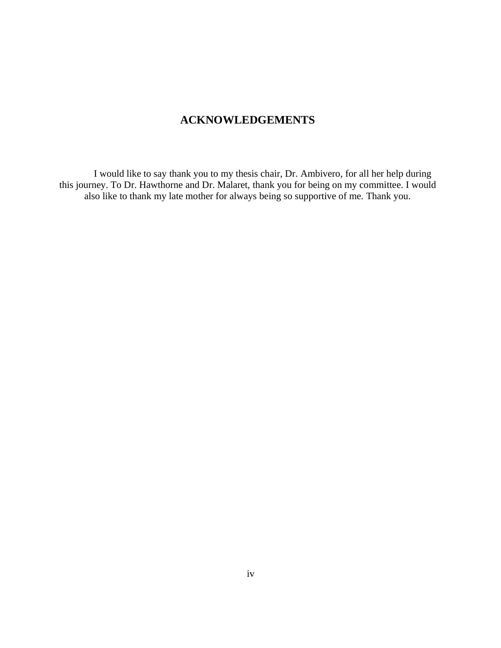# **ACKNOWLEDGEMENTS**

I would like to say thank you to my thesis chair, Dr. Ambivero, for all her help during this journey. To Dr. Hawthorne and Dr. Malaret, thank you for being on my committee. I would also like to thank my late mother for always being so supportive of me. Thank you.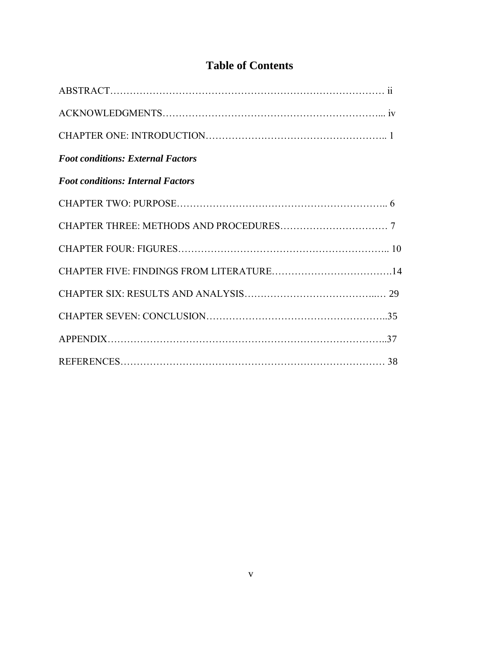# **Table of Contents**

| <b>Foot conditions: External Factors</b> |  |
|------------------------------------------|--|
| <b>Foot conditions: Internal Factors</b> |  |
|                                          |  |
|                                          |  |
|                                          |  |
|                                          |  |
|                                          |  |
|                                          |  |
|                                          |  |
|                                          |  |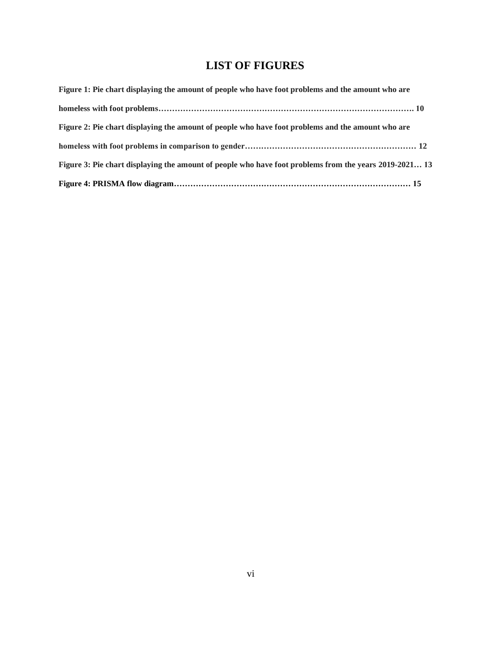# **LIST OF FIGURES**

| Figure 1: Pie chart displaying the amount of people who have foot problems and the amount who are      |
|--------------------------------------------------------------------------------------------------------|
|                                                                                                        |
| Figure 2: Pie chart displaying the amount of people who have foot problems and the amount who are      |
|                                                                                                        |
| Figure 3: Pie chart displaying the amount of people who have foot problems from the years 2019-2021 13 |
|                                                                                                        |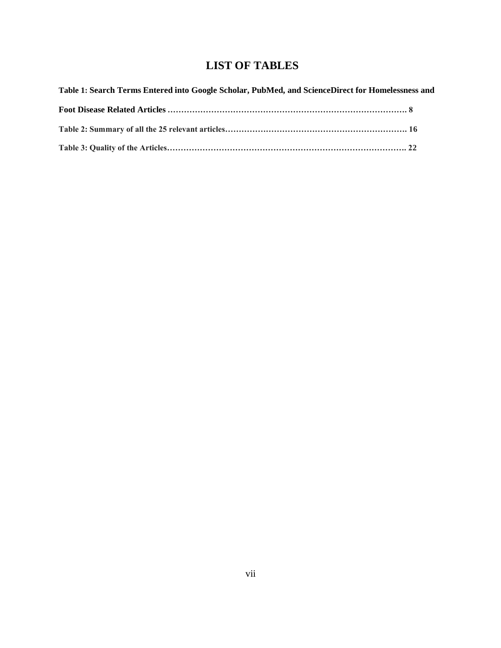# **LIST OF TABLES**

| Table 1: Search Terms Entered into Google Scholar, PubMed, and ScienceDirect for Homelessness and |  |
|---------------------------------------------------------------------------------------------------|--|
|                                                                                                   |  |
|                                                                                                   |  |
|                                                                                                   |  |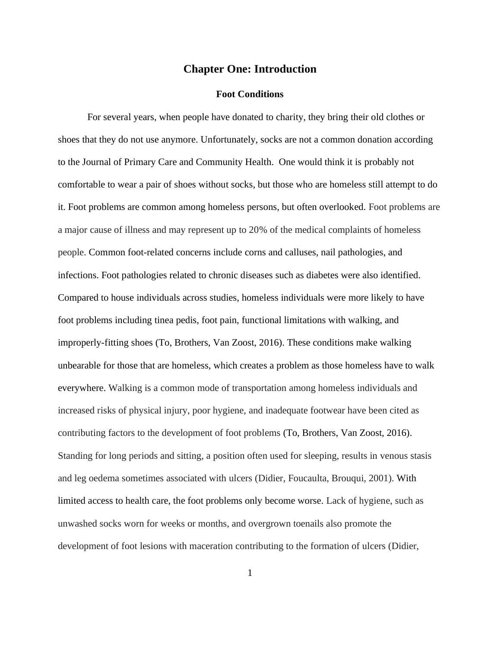# **Chapter One: Introduction**

## **Foot Conditions**

For several years, when people have donated to charity, they bring their old clothes or shoes that they do not use anymore. Unfortunately, socks are not a common donation according to the Journal of Primary Care and Community Health. One would think it is probably not comfortable to wear a pair of shoes without socks, but those who are homeless still attempt to do it. Foot problems are common among homeless persons, but often overlooked. Foot problems are a major cause of illness and may represent up to 20% of the medical complaints of homeless people. Common foot-related concerns include corns and calluses, nail pathologies, and infections. Foot pathologies related to chronic diseases such as diabetes were also identified. Compared to house individuals across studies, homeless individuals were more likely to have foot problems including tinea pedis, foot pain, functional limitations with walking, and improperly-fitting shoes (To, Brothers, Van Zoost, 2016). These conditions make walking unbearable for those that are homeless, which creates a problem as those homeless have to walk everywhere. Walking is a common mode of transportation among homeless individuals and increased risks of physical injury, poor hygiene, and inadequate footwear have been cited as contributing factors to the development of foot problems (To, Brothers, Van Zoost, 2016). Standing for long periods and sitting, a position often used for sleeping, results in [venous stasis](https://www.sciencedirect.com/topics/medicine-and-dentistry/venous-stasis) and [leg oedema](https://www.sciencedirect.com/topics/medicine-and-dentistry/leg-edema) sometimes associated with [ulcers](https://www.sciencedirect.com/topics/medicine-and-dentistry/venous-ulcer) (Didier, Foucaulta, Brouqui, 2001). With limited access to health care, the foot problems only become worse. Lack of hygiene, such as unwashed socks worn for weeks or months, and overgrown toenails also promote the development of foot lesions with maceration contributing to the formation of ulcers (Didier,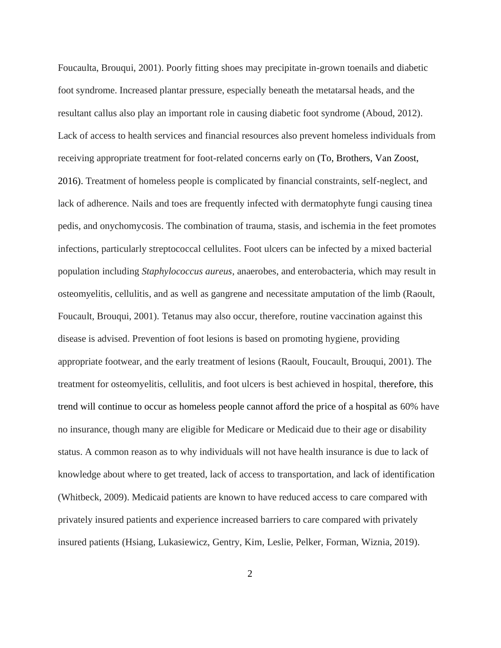Foucaulta, Brouqui, 2001). Poorly fitting shoes may precipitate in-grown toenails and diabetic foot syndrome. Increased plantar pressure, especially beneath the metatarsal heads, and the resultant callus also play an important role in causing diabetic foot syndrome (Aboud, 2012). Lack of access to health services and financial resources also prevent homeless individuals from receiving appropriate treatment for foot-related concerns early on (To, Brothers, Van Zoost, 2016). Treatment of homeless people is complicated by financial constraints, self-neglect, and lack of adherence. Nails and toes are frequently infected with dermatophyte fungi causing tinea pedis, and [onychomycosis.](https://www.sciencedirect.com/topics/medicine-and-dentistry/onychomycosis) The combination of trauma, stasis, and ischemia in the feet promotes infections, particularly streptococcal [cellulites.](https://www.sciencedirect.com/topics/medicine-and-dentistry/cellulite) [Foot ulcers](https://www.sciencedirect.com/topics/medicine-and-dentistry/foot-ulcer) can be infected by a mixed [bacterial](https://www.sciencedirect.com/topics/immunology-and-microbiology/bacterial-population)  [population](https://www.sciencedirect.com/topics/immunology-and-microbiology/bacterial-population) including *[Staphylococcus aureus](https://www.sciencedirect.com/topics/medicine-and-dentistry/staphylococcus-aureus)*, [anaerobes,](https://www.sciencedirect.com/topics/immunology-and-microbiology/anaerobe) and [enterobacteria,](https://www.sciencedirect.com/topics/medicine-and-dentistry/enterobacteriaceae) which may result in [osteomyelitis,](https://www.sciencedirect.com/topics/medicine-and-dentistry/osteomyelitis) [cellulitis,](https://www.sciencedirect.com/topics/medicine-and-dentistry/cellulitis) and as well as gangrene and necessitate amputation of the limb (Raoult, Foucault, Brouqui, 2001). [Tetanus](https://www.sciencedirect.com/topics/medicine-and-dentistry/tetanus) may also occur, therefore, routine vaccination against this disease is advised. Prevention of foot lesions is based on promoting hygiene, providing appropriate footwear, and the early treatment of lesions (Raoult, Foucault, Brouqui, 2001). The treatment for osteomyelitis, cellulitis, and foot ulcers is best achieved in hospital, therefore, this trend will continue to occur as homeless people cannot afford the price of a hospital as 60% have no insurance, though many are eligible for Medicare or Medicaid due to their age or disability status. A common reason as to why individuals will not have health insurance is due to lack of knowledge about where to get treated, lack of access to transportation, and lack of identification (Whitbeck, 2009). Medicaid patients are known to have reduced access to care compared with privately insured patients and experience increased barriers to care compared with privately insured patients (Hsiang, Lukasiewicz, Gentry, Kim, Leslie, Pelker, Forman, Wiznia, 2019).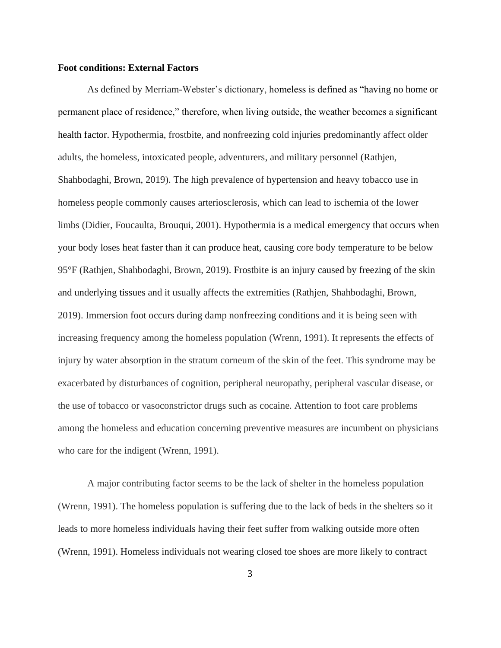## **Foot conditions: External Factors**

As defined by Merriam-Webster's dictionary, homeless is defined as "having no home or permanent place of residence," therefore, when living outside, the weather becomes a significant health factor. Hypothermia, frostbite, and nonfreezing cold injuries predominantly affect older adults, the homeless, intoxicated people, adventurers, and military personnel (Rathjen, Shahbodaghi, Brown, 2019). The high prevalence of hypertension and heavy tobacco use in homeless people commonly causes [arteriosclerosis,](https://www.sciencedirect.com/topics/medicine-and-dentistry/arteriosclerosis) which can lead to [ischemia](https://www.sciencedirect.com/topics/medicine-and-dentistry/ischemia) of the lower limbs (Didier, Foucaulta, Brouqui, 2001). Hypothermia is a medical emergency that occurs when your body loses heat faster than it can produce heat, causing core body temperature to be below 95°F (Rathjen, Shahbodaghi, Brown, 2019). Frostbite is an injury caused by freezing of the skin and underlying tissues and it usually affects the extremities (Rathjen, Shahbodaghi, Brown, 2019). Immersion foot occurs during damp nonfreezing conditions and it is being seen with increasing frequency among the homeless population (Wrenn, 1991). It represents the effects of injury by water absorption in the stratum corneum of the skin of the feet. This syndrome may be exacerbated by disturbances of cognition, peripheral neuropathy, peripheral vascular disease, or the use of tobacco or vasoconstrictor drugs such as cocaine. Attention to foot care problems among the homeless and education concerning preventive measures are incumbent on physicians who care for the indigent (Wrenn, 1991).

A major contributing factor seems to be the lack of shelter in the homeless population (Wrenn, 1991). The homeless population is suffering due to the lack of beds in the shelters so it leads to more homeless individuals having their feet suffer from walking outside more often (Wrenn, 1991). Homeless individuals not wearing closed toe shoes are more likely to contract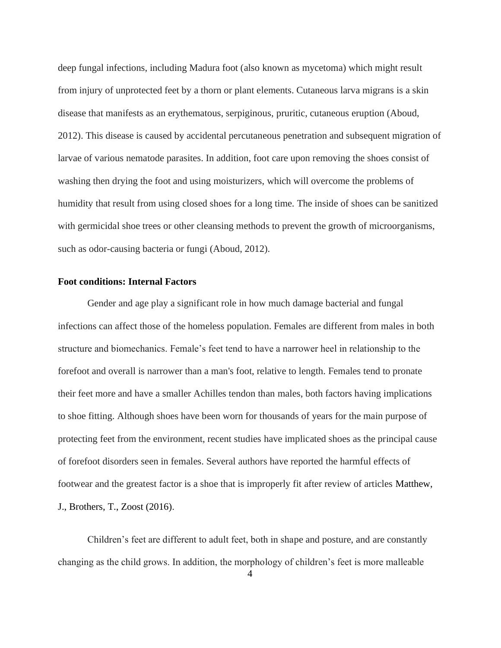deep fungal infections, including Madura foot (also known as mycetoma) which might result from injury of unprotected feet by a thorn or plant elements. Cutaneous larva migrans is a skin disease that manifests as an erythematous, serpiginous, pruritic, cutaneous eruption (Aboud, 2012). This disease is caused by accidental percutaneous penetration and subsequent migration of larvae of various nematode parasites. In addition, foot care upon removing the shoes consist of washing then drying the foot and using moisturizers, which will overcome the problems of humidity that result from using closed shoes for a long time. The inside of shoes can be sanitized with germicidal shoe trees or other cleansing methods to prevent the growth of microorganisms, such as odor-causing bacteria or fungi (Aboud, 2012).

#### **Foot conditions: Internal Factors**

Gender and age play a significant role in how much damage bacterial and fungal infections can affect those of the homeless population. Females are different from males in both structure and biomechanics. Female's feet tend to have a narrower heel in relationship to the forefoot and overall is narrower than a man's foot, relative to length. Females tend to pronate their feet more and have a smaller Achilles tendon than males, both factors having implications to shoe fitting. Although shoes have been worn for thousands of years for the main purpose of protecting feet from the environment, recent studies have implicated shoes as the principal cause of forefoot disorders seen in females. Several authors have reported the harmful effects of footwear and the greatest factor is a shoe that is improperly fit after review of articles Matthew, J., Brothers, T., Zoost (2016).

Children's feet are different to adult feet, both in shape and posture, and are constantly changing as the child grows. In addition, the morphology of children's feet is more malleable

4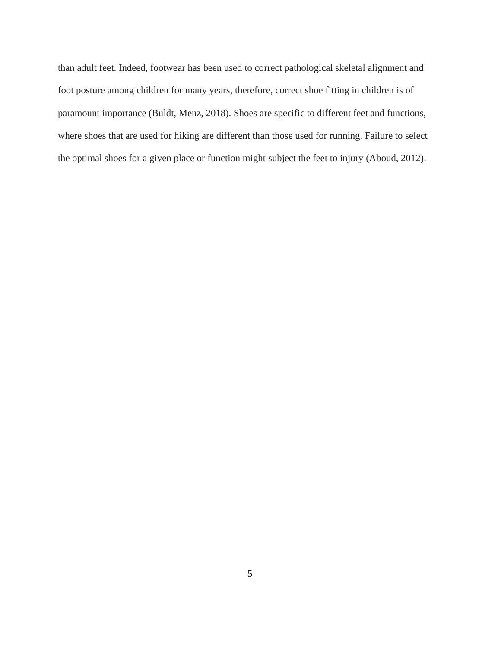than adult feet. Indeed, footwear has been used to correct pathological skeletal alignment and foot posture among children for many years, therefore, correct shoe fitting in children is of paramount importance (Buldt, Menz, 2018). Shoes are specific to different feet and functions, where shoes that are used for hiking are different than those used for running. Failure to select the optimal shoes for a given place or function might subject the feet to injury (Aboud, 2012).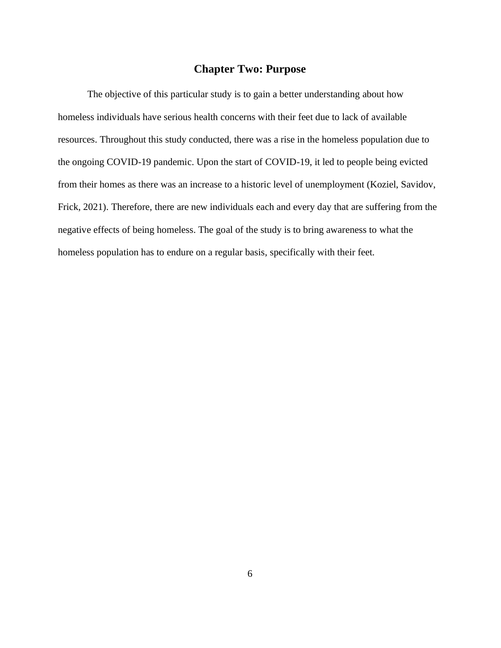# **Chapter Two: Purpose**

The objective of this particular study is to gain a better understanding about how homeless individuals have serious health concerns with their feet due to lack of available resources. Throughout this study conducted, there was a rise in the homeless population due to the ongoing COVID-19 pandemic. Upon the start of COVID-19, it led to people being evicted from their homes as there was an increase to a historic level of unemployment (Koziel, Savidov, Frick, 2021). Therefore, there are new individuals each and every day that are suffering from the negative effects of being homeless. The goal of the study is to bring awareness to what the homeless population has to endure on a regular basis, specifically with their feet.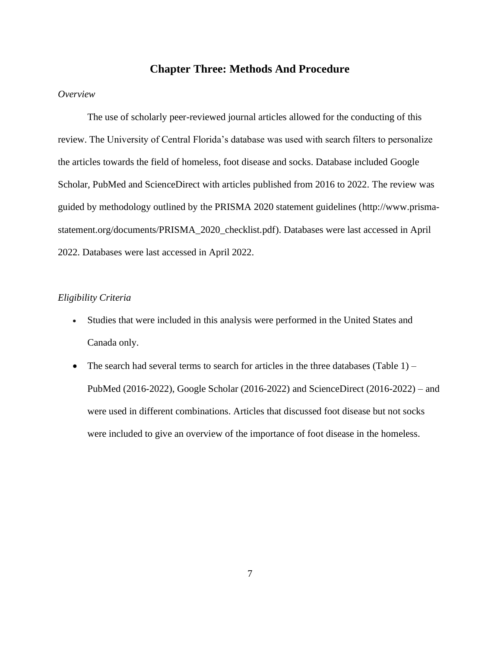# **Chapter Three: Methods And Procedure**

## *Overview*

The use of scholarly peer-reviewed journal articles allowed for the conducting of this review. The University of Central Florida's database was used with search filters to personalize the articles towards the field of homeless, foot disease and socks. Database included Google Scholar, PubMed and ScienceDirect with articles published from 2016 to 2022. The review was guided by methodology outlined by the PRISMA 2020 statement guidelines [\(http://www.prisma](http://www.prisma-statement.org/documents/PRISMA_2020_checklist.pdf)[statement.org/documents/PRISMA\\_2020\\_checklist.pdf\)](http://www.prisma-statement.org/documents/PRISMA_2020_checklist.pdf). Databases were last accessed in April 2022. Databases were last accessed in April 2022.

## *Eligibility Criteria*

- Studies that were included in this analysis were performed in the United States and Canada only.
- The search had several terms to search for articles in the three databases (Table  $1$ ) PubMed (2016-2022), Google Scholar (2016-2022) and ScienceDirect (2016-2022) – and were used in different combinations. Articles that discussed foot disease but not socks were included to give an overview of the importance of foot disease in the homeless.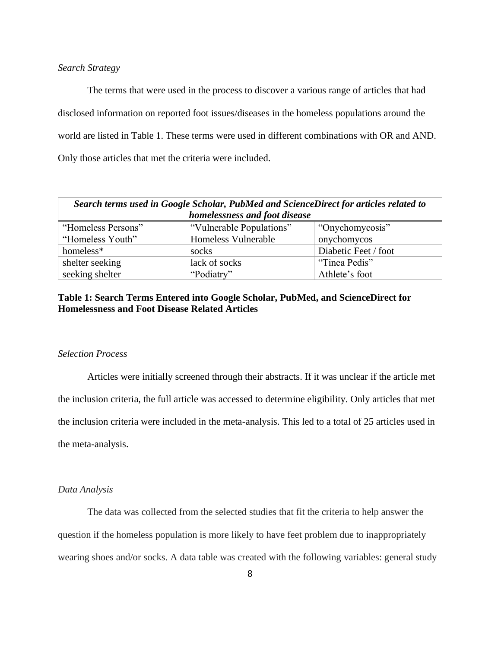## *Search Strategy*

The terms that were used in the process to discover a various range of articles that had disclosed information on reported foot issues/diseases in the homeless populations around the world are listed in Table 1. These terms were used in different combinations with OR and AND. Only those articles that met the criteria were included.

| Search terms used in Google Scholar, PubMed and ScienceDirect for articles related to |                          |                      |  |  |  |  |  |
|---------------------------------------------------------------------------------------|--------------------------|----------------------|--|--|--|--|--|
| homelessness and foot disease                                                         |                          |                      |  |  |  |  |  |
| "Homeless Persons"                                                                    | "Vulnerable Populations" | "Onychomycosis"      |  |  |  |  |  |
| "Homeless Youth"                                                                      | Homeless Vulnerable      | onychomycos          |  |  |  |  |  |
| homeless*                                                                             | socks                    | Diabetic Feet / foot |  |  |  |  |  |
| shelter seeking                                                                       | lack of socks            | "Tinea Pedis"        |  |  |  |  |  |
| seeking shelter                                                                       | "Podiatry"               | Athlete's foot       |  |  |  |  |  |

## **Table 1: Search Terms Entered into Google Scholar, PubMed, and ScienceDirect for Homelessness and Foot Disease Related Articles**

## *Selection Process*

Articles were initially screened through their abstracts. If it was unclear if the article met the inclusion criteria, the full article was accessed to determine eligibility. Only articles that met the inclusion criteria were included in the meta-analysis. This led to a total of 25 articles used in the meta-analysis.

#### *Data Analysis*

The data was collected from the selected studies that fit the criteria to help answer the question if the homeless population is more likely to have feet problem due to inappropriately wearing shoes and/or socks. A data table was created with the following variables: general study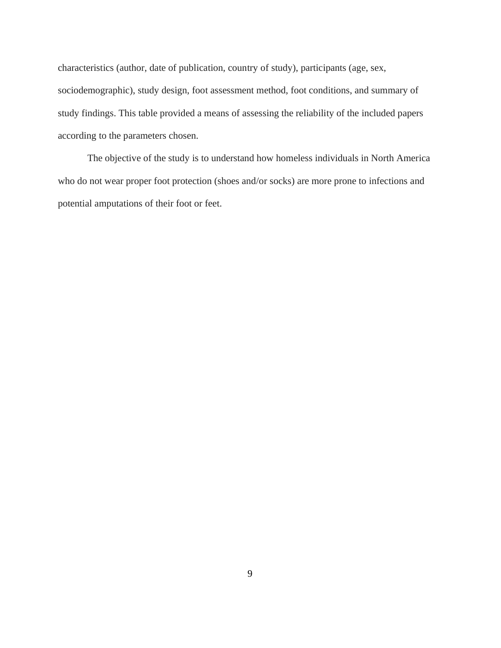characteristics (author, date of publication, country of study), participants (age, sex, sociodemographic), study design, foot assessment method, foot conditions, and summary of study findings. This table provided a means of assessing the reliability of the included papers according to the parameters chosen.

The objective of the study is to understand how homeless individuals in North America who do not wear proper foot protection (shoes and/or socks) are more prone to infections and potential amputations of their foot or feet.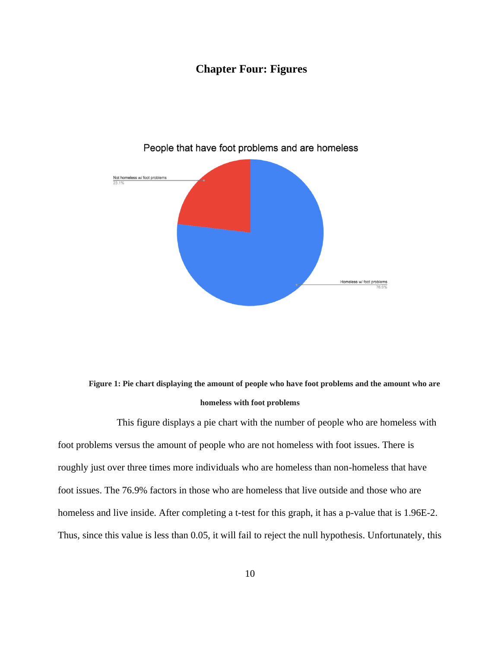# **Chapter Four: Figures**



## People that have foot problems and are homeless

**Figure 1: Pie chart displaying the amount of people who have foot problems and the amount who are homeless with foot problems**

This figure displays a pie chart with the number of people who are homeless with foot problems versus the amount of people who are not homeless with foot issues. There is roughly just over three times more individuals who are homeless than non-homeless that have foot issues. The 76.9% factors in those who are homeless that live outside and those who are homeless and live inside. After completing a t-test for this graph, it has a p-value that is 1.96E-2. Thus, since this value is less than 0.05, it will fail to reject the null hypothesis. Unfortunately, this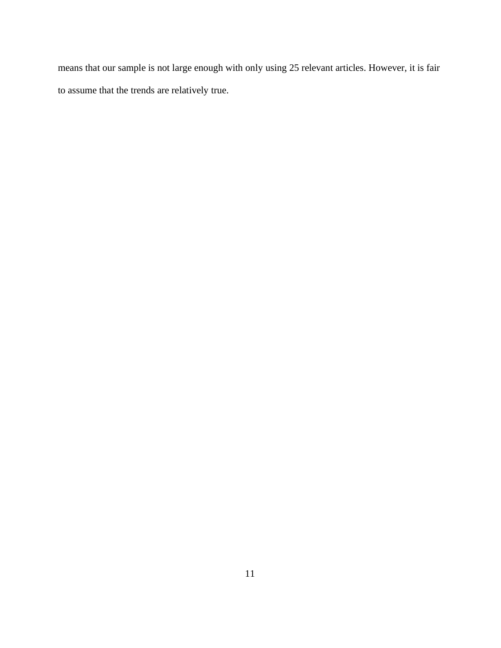means that our sample is not large enough with only using 25 relevant articles. However, it is fair to assume that the trends are relatively true.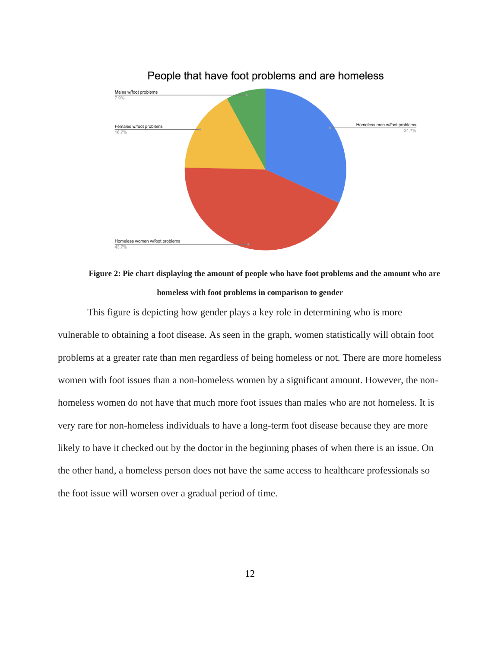

## People that have foot problems and are homeless



This figure is depicting how gender plays a key role in determining who is more vulnerable to obtaining a foot disease. As seen in the graph, women statistically will obtain foot problems at a greater rate than men regardless of being homeless or not. There are more homeless women with foot issues than a non-homeless women by a significant amount. However, the nonhomeless women do not have that much more foot issues than males who are not homeless. It is very rare for non-homeless individuals to have a long-term foot disease because they are more likely to have it checked out by the doctor in the beginning phases of when there is an issue. On the other hand, a homeless person does not have the same access to healthcare professionals so the foot issue will worsen over a gradual period of time.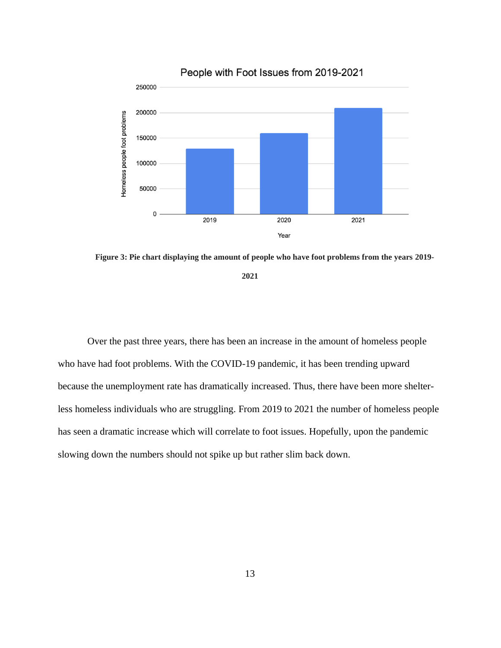

**Figure 3: Pie chart displaying the amount of people who have foot problems from the years 2019-**

**2021**

Over the past three years, there has been an increase in the amount of homeless people who have had foot problems. With the COVID-19 pandemic, it has been trending upward because the unemployment rate has dramatically increased. Thus, there have been more shelterless homeless individuals who are struggling. From 2019 to 2021 the number of homeless people has seen a dramatic increase which will correlate to foot issues. Hopefully, upon the pandemic slowing down the numbers should not spike up but rather slim back down.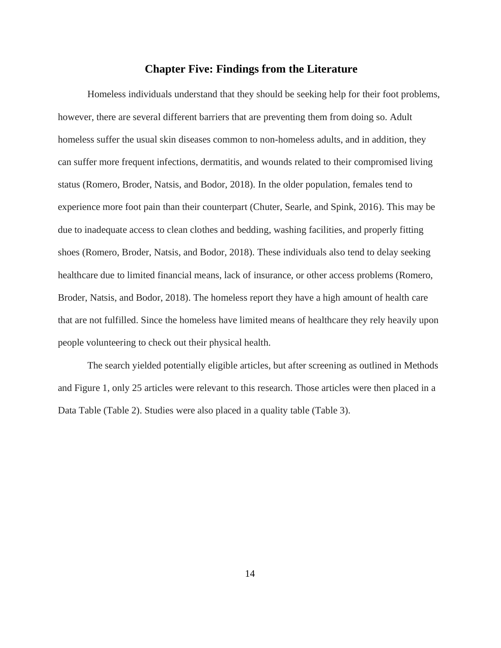## **Chapter Five: Findings from the Literature**

Homeless individuals understand that they should be seeking help for their foot problems, however, there are several different barriers that are preventing them from doing so. Adult homeless suffer the usual skin diseases common to non-homeless adults, and in addition, they can suffer more frequent infections, dermatitis, and wounds related to their compromised living status (Romero, Broder, Natsis, and Bodor, 2018). In the older population, females tend to experience more foot pain than their counterpart (Chuter, Searle, and Spink, 2016). This may be due to inadequate access to clean clothes and bedding, washing facilities, and properly fitting shoes (Romero, Broder, Natsis, and Bodor, 2018). These individuals also tend to delay seeking healthcare due to limited financial means, lack of insurance, or other access problems (Romero, Broder, Natsis, and Bodor, 2018). The homeless report they have a high amount of health care that are not fulfilled. Since the homeless have limited means of healthcare they rely heavily upon people volunteering to check out their physical health.

The search yielded potentially eligible articles, but after screening as outlined in Methods and Figure 1, only 25 articles were relevant to this research. Those articles were then placed in a Data Table (Table 2). Studies were also placed in a quality table (Table 3).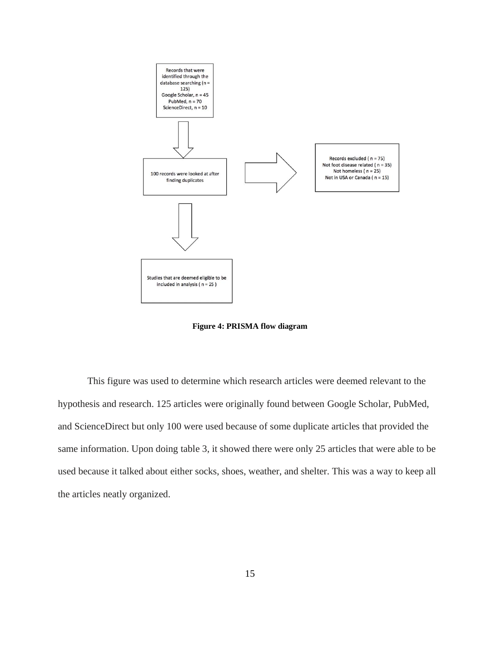

**Figure 4: PRISMA flow diagram**

This figure was used to determine which research articles were deemed relevant to the hypothesis and research. 125 articles were originally found between Google Scholar, PubMed, and ScienceDirect but only 100 were used because of some duplicate articles that provided the same information. Upon doing table 3, it showed there were only 25 articles that were able to be used because it talked about either socks, shoes, weather, and shelter. This was a way to keep all the articles neatly organized.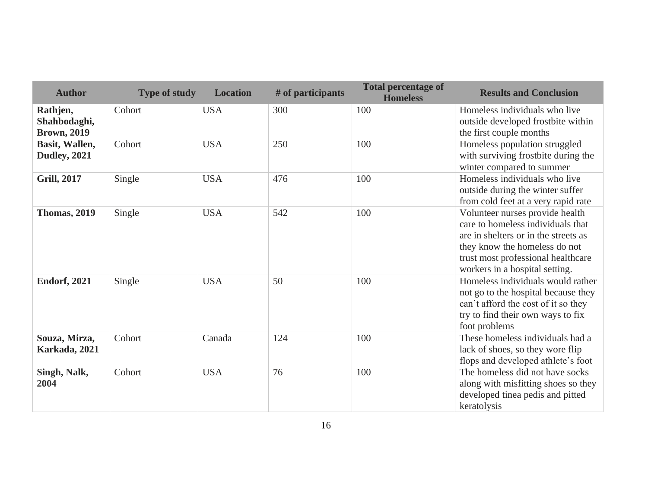| <b>Author</b>                                  | <b>Type of study</b> | <b>Location</b> | # of participants | <b>Total percentage of</b><br><b>Homeless</b> | <b>Results and Conclusion</b>                                                                                                                                                                                         |
|------------------------------------------------|----------------------|-----------------|-------------------|-----------------------------------------------|-----------------------------------------------------------------------------------------------------------------------------------------------------------------------------------------------------------------------|
| Rathjen,<br>Shahbodaghi,<br><b>Brown, 2019</b> | Cohort               | <b>USA</b>      | 300               | 100                                           | Homeless individuals who live<br>outside developed frostbite within<br>the first couple months                                                                                                                        |
| Basit, Wallen,<br><b>Dudley, 2021</b>          | Cohort               | <b>USA</b>      | 250               | 100                                           | Homeless population struggled<br>with surviving frostbite during the<br>winter compared to summer                                                                                                                     |
| <b>Grill, 2017</b>                             | Single               | <b>USA</b>      | 476               | 100                                           | Homeless individuals who live<br>outside during the winter suffer<br>from cold feet at a very rapid rate                                                                                                              |
| <b>Thomas, 2019</b>                            | Single               | <b>USA</b>      | 542               | 100                                           | Volunteer nurses provide health<br>care to homeless individuals that<br>are in shelters or in the streets as<br>they know the homeless do not<br>trust most professional healthcare<br>workers in a hospital setting. |
| <b>Endorf, 2021</b>                            | Single               | <b>USA</b>      | 50                | 100                                           | Homeless individuals would rather<br>not go to the hospital because they<br>can't afford the cost of it so they<br>try to find their own ways to fix<br>foot problems                                                 |
| Souza, Mirza,<br>Karkada, 2021                 | Cohort               | Canada          | 124               | 100                                           | These homeless individuals had a<br>lack of shoes, so they wore flip<br>flops and developed athlete's foot                                                                                                            |
| Singh, Nalk,<br>2004                           | Cohort               | <b>USA</b>      | 76                | 100                                           | The homeless did not have socks<br>along with misfitting shoes so they<br>developed tinea pedis and pitted<br>keratolysis                                                                                             |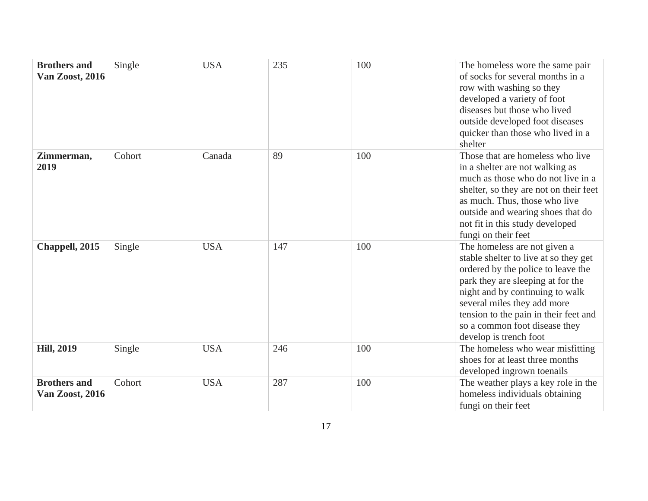| <b>Brothers and</b><br><b>Van Zoost, 2016</b> | Single | <b>USA</b> | 235 | 100 | The homeless wore the same pair<br>of socks for several months in a<br>row with washing so they<br>developed a variety of foot<br>diseases but those who lived<br>outside developed foot diseases<br>quicker than those who lived in a<br>shelter                                                                      |
|-----------------------------------------------|--------|------------|-----|-----|------------------------------------------------------------------------------------------------------------------------------------------------------------------------------------------------------------------------------------------------------------------------------------------------------------------------|
| Zimmerman,<br>2019                            | Cohort | Canada     | 89  | 100 | Those that are homeless who live<br>in a shelter are not walking as<br>much as those who do not live in a<br>shelter, so they are not on their feet<br>as much. Thus, those who live<br>outside and wearing shoes that do<br>not fit in this study developed<br>fungi on their feet                                    |
| Chappell, 2015                                | Single | <b>USA</b> | 147 | 100 | The homeless are not given a<br>stable shelter to live at so they get<br>ordered by the police to leave the<br>park they are sleeping at for the<br>night and by continuing to walk<br>several miles they add more<br>tension to the pain in their feet and<br>so a common foot disease they<br>develop is trench foot |
| <b>Hill, 2019</b>                             | Single | <b>USA</b> | 246 | 100 | The homeless who wear misfitting<br>shoes for at least three months<br>developed ingrown toenails                                                                                                                                                                                                                      |
| <b>Brothers and</b><br><b>Van Zoost, 2016</b> | Cohort | <b>USA</b> | 287 | 100 | The weather plays a key role in the<br>homeless individuals obtaining<br>fungi on their feet                                                                                                                                                                                                                           |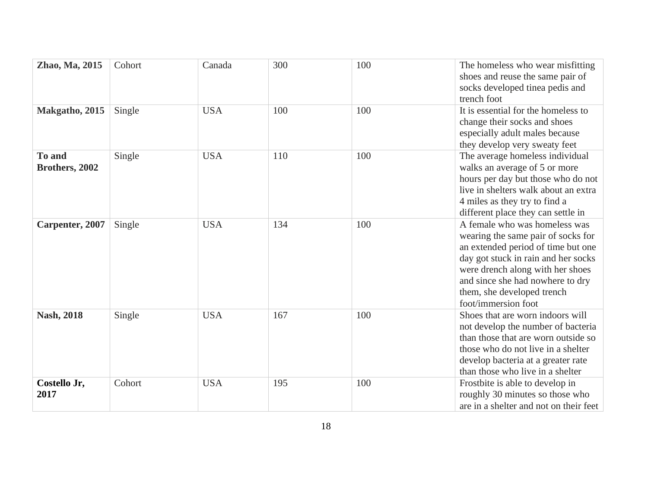| Zhao, Ma, 2015                  | Cohort | Canada     | 300 | 100 | The homeless who wear misfitting<br>shoes and reuse the same pair of<br>socks developed tinea pedis and<br>trench foot                                                                                                                                                        |
|---------------------------------|--------|------------|-----|-----|-------------------------------------------------------------------------------------------------------------------------------------------------------------------------------------------------------------------------------------------------------------------------------|
| Makgatho, 2015                  | Single | <b>USA</b> | 100 | 100 | It is essential for the homeless to<br>change their socks and shoes<br>especially adult males because<br>they develop very sweaty feet                                                                                                                                        |
| <b>To and</b><br>Brothers, 2002 | Single | <b>USA</b> | 110 | 100 | The average homeless individual<br>walks an average of 5 or more<br>hours per day but those who do not<br>live in shelters walk about an extra<br>4 miles as they try to find a<br>different place they can settle in                                                         |
| Carpenter, 2007                 | Single | <b>USA</b> | 134 | 100 | A female who was homeless was<br>wearing the same pair of socks for<br>an extended period of time but one<br>day got stuck in rain and her socks<br>were drench along with her shoes<br>and since she had nowhere to dry<br>them, she developed trench<br>foot/immersion foot |
| <b>Nash, 2018</b>               | Single | <b>USA</b> | 167 | 100 | Shoes that are worn indoors will<br>not develop the number of bacteria<br>than those that are worn outside so<br>those who do not live in a shelter<br>develop bacteria at a greater rate<br>than those who live in a shelter                                                 |
| Costello Jr,<br>2017            | Cohort | <b>USA</b> | 195 | 100 | Frostbite is able to develop in<br>roughly 30 minutes so those who<br>are in a shelter and not on their feet                                                                                                                                                                  |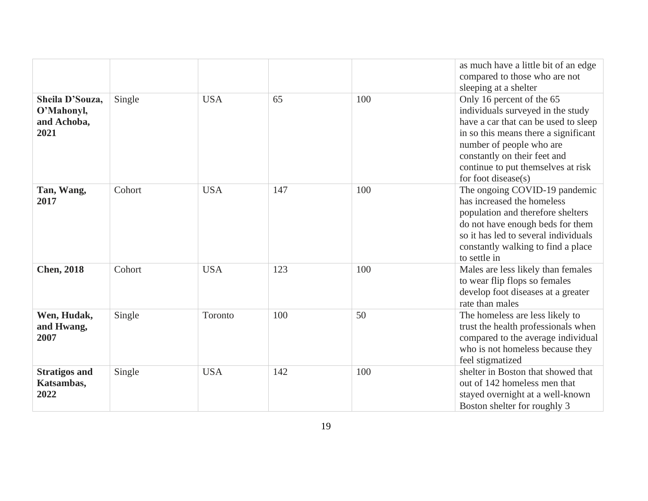|                      |        |            |     |     | as much have a little bit of an edge<br>compared to those who are not |
|----------------------|--------|------------|-----|-----|-----------------------------------------------------------------------|
|                      |        |            |     |     | sleeping at a shelter                                                 |
| Sheila D'Souza,      | Single | <b>USA</b> | 65  | 100 | Only 16 percent of the 65                                             |
| O'Mahonyl,           |        |            |     |     | individuals surveyed in the study                                     |
| and Achoba,          |        |            |     |     | have a car that can be used to sleep                                  |
| 2021                 |        |            |     |     | in so this means there a significant                                  |
|                      |        |            |     |     | number of people who are                                              |
|                      |        |            |     |     | constantly on their feet and                                          |
|                      |        |            |     |     | continue to put themselves at risk                                    |
|                      |        |            |     |     | for foot disease(s)                                                   |
| Tan, Wang,           | Cohort | <b>USA</b> | 147 | 100 | The ongoing COVID-19 pandemic                                         |
| 2017                 |        |            |     |     | has increased the homeless                                            |
|                      |        |            |     |     | population and therefore shelters                                     |
|                      |        |            |     |     | do not have enough beds for them                                      |
|                      |        |            |     |     | so it has led to several individuals                                  |
|                      |        |            |     |     | constantly walking to find a place                                    |
|                      |        |            |     |     | to settle in                                                          |
| <b>Chen, 2018</b>    | Cohort | <b>USA</b> | 123 | 100 | Males are less likely than females                                    |
|                      |        |            |     |     | to wear flip flops so females                                         |
|                      |        |            |     |     | develop foot diseases at a greater                                    |
|                      |        |            |     |     | rate than males                                                       |
| Wen, Hudak,          | Single | Toronto    | 100 | 50  | The homeless are less likely to                                       |
| and Hwang,           |        |            |     |     | trust the health professionals when                                   |
| 2007                 |        |            |     |     | compared to the average individual                                    |
|                      |        |            |     |     | who is not homeless because they                                      |
|                      |        |            |     |     | feel stigmatized                                                      |
| <b>Stratigos and</b> | Single | <b>USA</b> | 142 | 100 | shelter in Boston that showed that                                    |
| Katsambas,           |        |            |     |     | out of 142 homeless men that                                          |
| 2022                 |        |            |     |     | stayed overnight at a well-known                                      |
|                      |        |            |     |     | Boston shelter for roughly 3                                          |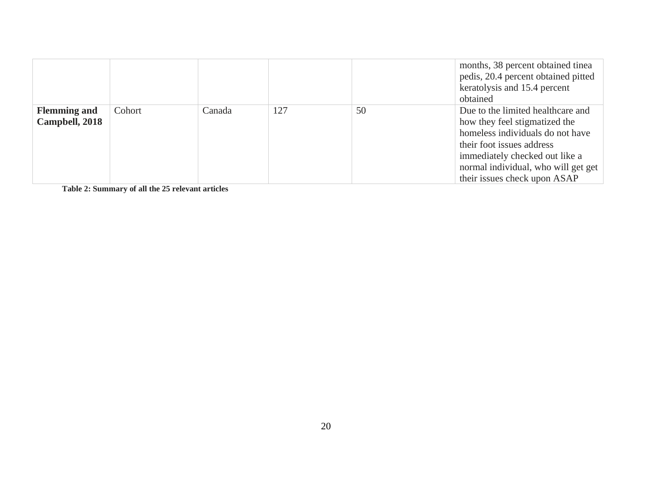|                                       |        |        |     |    | months, 38 percent obtained tinea<br>pedis, 20.4 percent obtained pitted<br>keratolysis and 15.4 percent<br>obtained                                                                                                                         |
|---------------------------------------|--------|--------|-----|----|----------------------------------------------------------------------------------------------------------------------------------------------------------------------------------------------------------------------------------------------|
| <b>Flemming and</b><br>Campbell, 2018 | Cohort | Canada | 127 | 50 | Due to the limited healthcare and<br>how they feel stigmatized the<br>homeless individuals do not have<br>their foot issues address<br>immediately checked out like a<br>normal individual, who will get get<br>their issues check upon ASAP |

**Table 2: Summary of all the 25 relevant articles**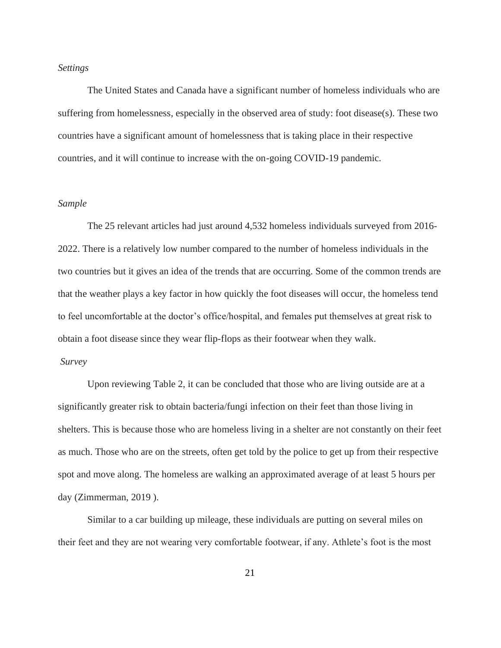## *Settings*

The United States and Canada have a significant number of homeless individuals who are suffering from homelessness, especially in the observed area of study: foot disease(s). These two countries have a significant amount of homelessness that is taking place in their respective countries, and it will continue to increase with the on-going COVID-19 pandemic.

#### *Sample*

The 25 relevant articles had just around 4,532 homeless individuals surveyed from 2016- 2022. There is a relatively low number compared to the number of homeless individuals in the two countries but it gives an idea of the trends that are occurring. Some of the common trends are that the weather plays a key factor in how quickly the foot diseases will occur, the homeless tend to feel uncomfortable at the doctor's office/hospital, and females put themselves at great risk to obtain a foot disease since they wear flip-flops as their footwear when they walk.

## *Survey*

Upon reviewing Table 2, it can be concluded that those who are living outside are at a significantly greater risk to obtain bacteria/fungi infection on their feet than those living in shelters. This is because those who are homeless living in a shelter are not constantly on their feet as much. Those who are on the streets, often get told by the police to get up from their respective spot and move along. The homeless are walking an approximated average of at least 5 hours per day (Zimmerman, 2019 ).

Similar to a car building up mileage, these individuals are putting on several miles on their feet and they are not wearing very comfortable footwear, if any. Athlete's foot is the most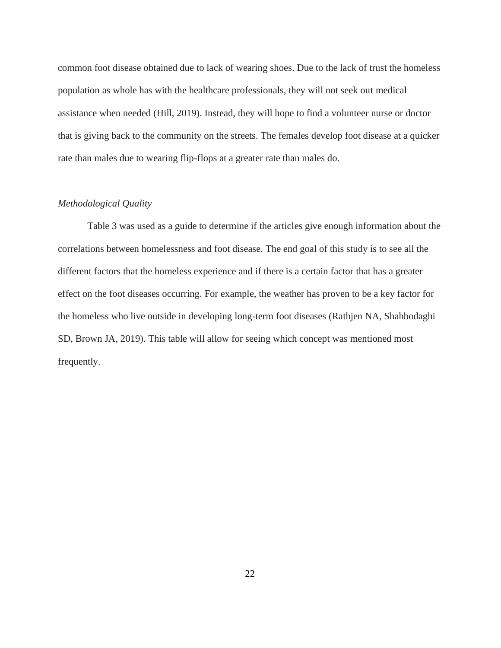common foot disease obtained due to lack of wearing shoes. Due to the lack of trust the homeless population as whole has with the healthcare professionals, they will not seek out medical assistance when needed (Hill, 2019). Instead, they will hope to find a volunteer nurse or doctor that is giving back to the community on the streets. The females develop foot disease at a quicker rate than males due to wearing flip-flops at a greater rate than males do.

## *Methodological Quality*

Table 3 was used as a guide to determine if the articles give enough information about the correlations between homelessness and foot disease. The end goal of this study is to see all the different factors that the homeless experience and if there is a certain factor that has a greater effect on the foot diseases occurring. For example, the weather has proven to be a key factor for the homeless who live outside in developing long-term foot diseases (Rathjen NA, Shahbodaghi SD, Brown JA, 2019). This table will allow for seeing which concept was mentioned most frequently.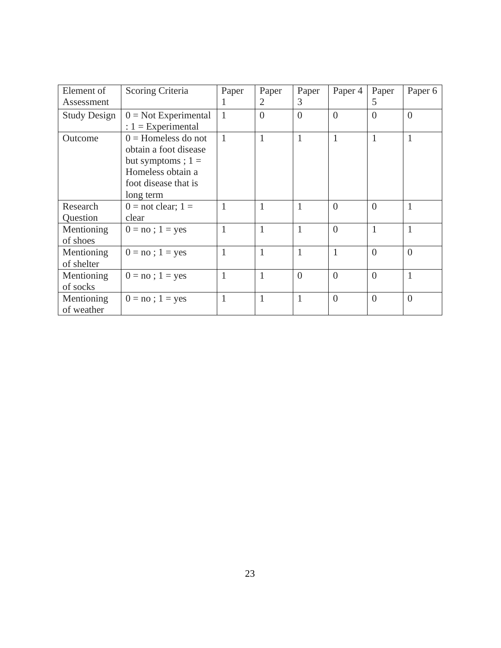| Element of          | Scoring Criteria       | Paper        | Paper        | Paper          | Paper 4        | Paper          | Paper 6        |
|---------------------|------------------------|--------------|--------------|----------------|----------------|----------------|----------------|
| Assessment          |                        | 1            | 2            | 3              |                | 5              |                |
| <b>Study Design</b> | $0 = Not Experimental$ | $\mathbf{1}$ | $\theta$     | $\overline{0}$ | $\overline{0}$ | $\overline{0}$ | $\overline{0}$ |
|                     | : $1 = Experimental$   |              |              |                |                |                |                |
| Outcome             | $0 =$ Homeless do not  | $\mathbf{1}$ | $\mathbf{1}$ | 1              | $\mathbf{1}$   | $\mathbf{1}$   | $\mathbf{1}$   |
|                     | obtain a foot disease  |              |              |                |                |                |                |
|                     | but symptoms ; $1 =$   |              |              |                |                |                |                |
|                     | Homeless obtain a      |              |              |                |                |                |                |
|                     | foot disease that is   |              |              |                |                |                |                |
|                     | long term              |              |              |                |                |                |                |
| Research            | $0 =$ not clear; 1 =   | 1            | 1            | 1              | $\overline{0}$ | $\theta$       | $\mathbf{1}$   |
| Question            | clear                  |              |              |                |                |                |                |
| Mentioning          | $0 = no$ ; $1 = yes$   | 1            | 1            | 1              | $\overline{0}$ | $\mathbf{1}$   | $\mathbf{1}$   |
| of shoes            |                        |              |              |                |                |                |                |
| Mentioning          | $0 = no$ ; $1 = yes$   | $\mathbf{1}$ | 1            | 1              | $\mathbf{1}$   | $\Omega$       | $\Omega$       |
| of shelter          |                        |              |              |                |                |                |                |
| Mentioning          | $0 = no$ ; $1 = yes$   | 1            | 1            | $\overline{0}$ | $\theta$       | $\theta$       | $\mathbf{1}$   |
| of socks            |                        |              |              |                |                |                |                |
| Mentioning          | $0 = no$ ; $1 = yes$   | $\mathbf{1}$ | $\mathbf{1}$ | 1              | $\overline{0}$ | $\overline{0}$ | $\overline{0}$ |
| of weather          |                        |              |              |                |                |                |                |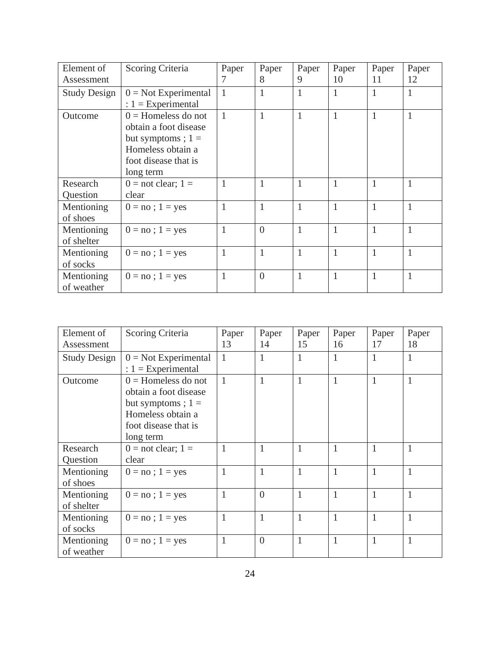| Element of          | Scoring Criteria            | Paper        | Paper          | Paper        | Paper        | Paper        | Paper        |
|---------------------|-----------------------------|--------------|----------------|--------------|--------------|--------------|--------------|
| Assessment          |                             | 7            | 8              | 9            | 10           | 11           | 12           |
| <b>Study Design</b> | $0 = Not Experimental$      | $\mathbf{1}$ | 1              | 1            | $\mathbf{1}$ | $\mathbf{1}$ | $\mathbf{1}$ |
|                     | : $1 = Experimental$        |              |                |              |              |              |              |
| Outcome             | $0 =$ Homeless do not       | $\mathbf{1}$ | 1              | $\mathbf{1}$ | $\mathbf{1}$ | 1            | $\mathbf{1}$ |
|                     | obtain a foot disease       |              |                |              |              |              |              |
|                     | but symptoms ; $1 =$        |              |                |              |              |              |              |
|                     | Homeless obtain a           |              |                |              |              |              |              |
|                     | foot disease that is        |              |                |              |              |              |              |
|                     | long term                   |              |                |              |              |              |              |
| Research            | $0 = \text{not clear}; 1 =$ | 1            | 1              | 1            | $\mathbf{1}$ | 1            | $\mathbf{1}$ |
| Question            | clear                       |              |                |              |              |              |              |
| Mentioning          | $0 = no$ ; 1 = yes          | $\mathbf{1}$ | 1              | 1            | $\mathbf{1}$ | $\mathbf{1}$ | $\mathbf{1}$ |
| of shoes            |                             |              |                |              |              |              |              |
| Mentioning          | $0 = no$ ; 1 = yes          | $\mathbf{1}$ | $\Omega$       | 1            | $\mathbf{1}$ | $\mathbf{1}$ | $\mathbf{1}$ |
| of shelter          |                             |              |                |              |              |              |              |
| Mentioning          | $0 = no$ ; $1 = yes$        | $\mathbf{1}$ | 1              | 1            | $\mathbf{1}$ | 1            | $\mathbf{1}$ |
| of socks            |                             |              |                |              |              |              |              |
| Mentioning          | $0 = no$ ; $1 = yes$        | $\mathbf{1}$ | $\overline{0}$ | 1            | $\mathbf{1}$ | 1            | $\mathbf{1}$ |
| of weather          |                             |              |                |              |              |              |              |

| Element of          | Scoring Criteria            | Paper        | Paper    | Paper        | Paper        | Paper        | Paper        |
|---------------------|-----------------------------|--------------|----------|--------------|--------------|--------------|--------------|
| Assessment          |                             | 13           | 14       | 15           | 16           | 17           | 18           |
| <b>Study Design</b> | $0 = Not Experimental$      | $\mathbf{1}$ | 1        | 1            | 1            | $\mathbf{1}$ | $\mathbf{1}$ |
|                     | : $1 =$ Experimental        |              |          |              |              |              |              |
| Outcome             | $0 =$ Homeless do not       | $\mathbf{1}$ | 1        | 1            | $\mathbf{1}$ | 1            | $\mathbf{1}$ |
|                     | obtain a foot disease       |              |          |              |              |              |              |
|                     | but symptoms ; $1 =$        |              |          |              |              |              |              |
|                     | Homeless obtain a           |              |          |              |              |              |              |
|                     | foot disease that is        |              |          |              |              |              |              |
|                     | long term                   |              |          |              |              |              |              |
| Research            | $0 = \text{not clear}; 1 =$ | 1            | 1        | 1            | $\mathbf{1}$ | 1            | $\mathbf{1}$ |
| Question            | clear                       |              |          |              |              |              |              |
| Mentioning          | $0 = no$ ; $1 = yes$        | 1            | 1        | 1            | $\mathbf{1}$ | 1            | $\mathbf{1}$ |
| of shoes            |                             |              |          |              |              |              |              |
| Mentioning          | $0 = no$ ; $1 = yes$        | $\mathbf{1}$ | $\theta$ | 1            | $\mathbf{1}$ | $\mathbf{1}$ | $\mathbf{1}$ |
| of shelter          |                             |              |          |              |              |              |              |
| Mentioning          | $0 = no$ ; $1 = yes$        | $\mathbf{1}$ | 1        | $\mathbf{1}$ | $\mathbf{1}$ | $\mathbf{1}$ | $\mathbf{1}$ |
| of socks            |                             |              |          |              |              |              |              |
| Mentioning          | $0 = no$ ; $1 = yes$        | $\mathbf{1}$ | $\theta$ | 1            | $\mathbf{1}$ | 1            | $\mathbf{1}$ |
| of weather          |                             |              |          |              |              |              |              |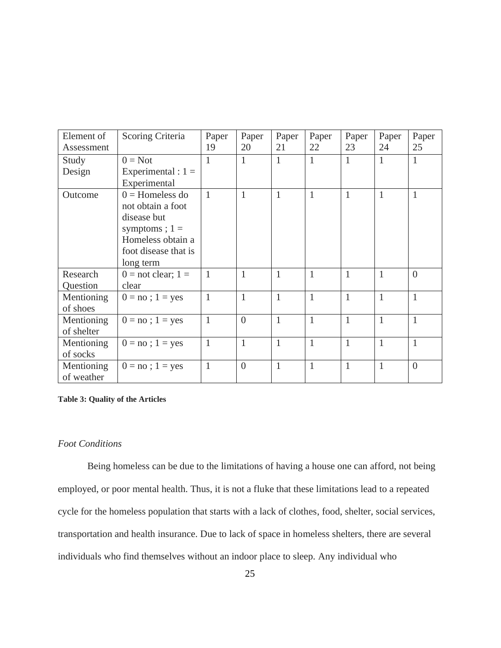| Element of<br>Assessment | Scoring Criteria       | Paper<br>19  | Paper<br>20    | Paper<br>21  | Paper<br>22  | Paper<br>23  | Paper<br>24  | Paper<br>25    |
|--------------------------|------------------------|--------------|----------------|--------------|--------------|--------------|--------------|----------------|
|                          |                        |              |                |              |              |              |              |                |
| Study                    | $0 = Not$              | 1            | $\mathbf{1}$   | 1            | $\mathbf{1}$ | $\mathbf{1}$ | 1            | $\mathbf{1}$   |
| Design                   | Experimental : $1 =$   |              |                |              |              |              |              |                |
|                          | Experimental           |              |                |              |              |              |              |                |
| Outcome                  | $0 =$ Homeless do      | 1            | $\mathbf{1}$   | 1            | $\mathbf{1}$ | $\mathbf{1}$ | 1            | $\mathbf{1}$   |
|                          | not obtain a foot      |              |                |              |              |              |              |                |
|                          | disease but            |              |                |              |              |              |              |                |
|                          | symptoms; $1 =$        |              |                |              |              |              |              |                |
|                          | Homeless obtain a      |              |                |              |              |              |              |                |
|                          | foot disease that is   |              |                |              |              |              |              |                |
|                          | long term              |              |                |              |              |              |              |                |
| Research                 | $0 =$ not clear; $1 =$ | 1            | $\mathbf{1}$   | 1            | 1            | $\mathbf{1}$ | 1            | $\theta$       |
| Question                 | clear                  |              |                |              |              |              |              |                |
| Mentioning               | $0 = no$ ; 1 = yes     | $\mathbf{1}$ | $\mathbf{1}$   | 1            | $\mathbf{1}$ | $\mathbf{1}$ | 1            | $\mathbf{1}$   |
| of shoes                 |                        |              |                |              |              |              |              |                |
| Mentioning               | $0 = no$ ; $1 = yes$   | $\mathbf{1}$ | $\overline{0}$ | $\mathbf{1}$ | $\mathbf{1}$ | $\mathbf{1}$ | $\mathbf{1}$ | $\mathbf{1}$   |
| of shelter               |                        |              |                |              |              |              |              |                |
| Mentioning               | $0 = no$ ; $1 = yes$   | $\mathbf{1}$ | $\mathbf{1}$   | 1            | $\mathbf{1}$ | $\mathbf{1}$ | 1            | $\mathbf{1}$   |
| of socks                 |                        |              |                |              |              |              |              |                |
| Mentioning               | $0 = no$ ; 1 = yes     | $\mathbf{1}$ | $\theta$       | $\mathbf{1}$ | $\mathbf{1}$ | $\mathbf{1}$ | $\mathbf{1}$ | $\overline{0}$ |
| of weather               |                        |              |                |              |              |              |              |                |

#### **Table 3: Quality of the Articles**

## *Foot Conditions*

Being homeless can be due to the limitations of having a house one can afford, not being employed, or poor mental health. Thus, it is not a fluke that these limitations lead to a repeated cycle for the homeless population that starts with a lack of clothes, food, shelter, social services, transportation and health insurance. Due to lack of space in homeless shelters, there are several individuals who find themselves without an indoor place to sleep. Any individual who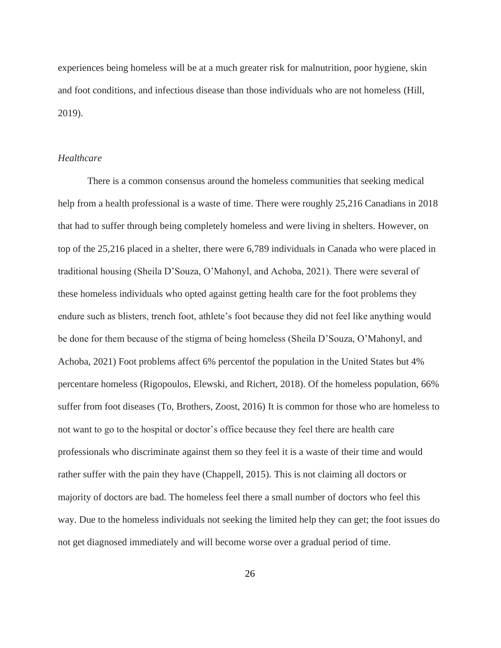experiences being homeless will be at a much greater risk for malnutrition, poor hygiene, skin and foot conditions, and infectious disease than those individuals who are not homeless (Hill, 2019).

## *Healthcare*

There is a common consensus around the homeless communities that seeking medical help from a health professional is a waste of time. There were roughly 25,216 Canadians in 2018 that had to suffer through being completely homeless and were living in shelters. However, on top of the 25,216 placed in a shelter, there were 6,789 individuals in Canada who were placed in traditional housing (Sheila D'Souza, O'Mahonyl, and Achoba, 2021). There were several of these homeless individuals who opted against getting health care for the foot problems they endure such as blisters, trench foot, athlete's foot because they did not feel like anything would be done for them because of the stigma of being homeless (Sheila D'Souza, O'Mahonyl, and Achoba, 2021) Foot problems affect 6% percentof the population in the United States but 4% percentare homeless (Rigopoulos, Elewski, and Richert, 2018). Of the homeless population, 66% suffer from foot diseases (To, Brothers, Zoost, 2016) It is common for those who are homeless to not want to go to the hospital or doctor's office because they feel there are health care professionals who discriminate against them so they feel it is a waste of their time and would rather suffer with the pain they have (Chappell, 2015). This is not claiming all doctors or majority of doctors are bad. The homeless feel there a small number of doctors who feel this way. Due to the homeless individuals not seeking the limited help they can get; the foot issues do not get diagnosed immediately and will become worse over a gradual period of time.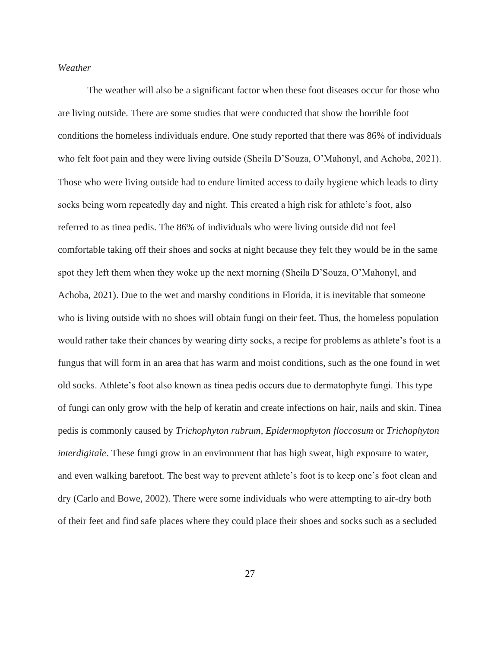## *Weather*

The weather will also be a significant factor when these foot diseases occur for those who are living outside. There are some studies that were conducted that show the horrible foot conditions the homeless individuals endure. One study reported that there was 86% of individuals who felt foot pain and they were living outside (Sheila D'Souza, O'Mahonyl, and Achoba, 2021). Those who were living outside had to endure limited access to daily hygiene which leads to dirty socks being worn repeatedly day and night. This created a high risk for athlete's foot, also referred to as tinea pedis. The 86% of individuals who were living outside did not feel comfortable taking off their shoes and socks at night because they felt they would be in the same spot they left them when they woke up the next morning (Sheila D'Souza, O'Mahonyl, and Achoba, 2021). Due to the wet and marshy conditions in Florida, it is inevitable that someone who is living outside with no shoes will obtain fungi on their feet. Thus, the homeless population would rather take their chances by wearing dirty socks, a recipe for problems as athlete's foot is a fungus that will form in an area that has warm and moist conditions, such as the one found in wet old socks. Athlete's foot also known as tinea pedis occurs due to dermatophyte fungi. This type of fungi can only grow with the help of keratin and create infections on hair, nails and skin. Tinea pedis is commonly caused by *Trichophyton rubrum, Epidermophyton floccosum* or *Trichophyton interdigitale*. These fungi grow in an environment that has high sweat, high exposure to water, and even walking barefoot. The best way to prevent athlete's foot is to keep one's foot clean and dry (Carlo and Bowe, 2002). There were some individuals who were attempting to air-dry both of their feet and find safe places where they could place their shoes and socks such as a secluded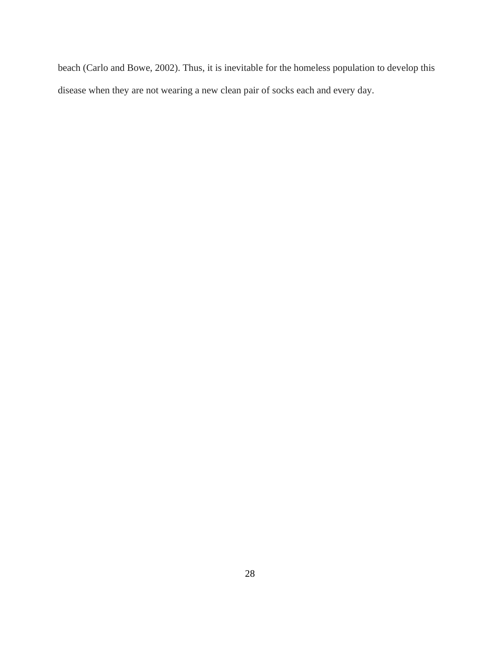beach (Carlo and Bowe, 2002). Thus, it is inevitable for the homeless population to develop this disease when they are not wearing a new clean pair of socks each and every day.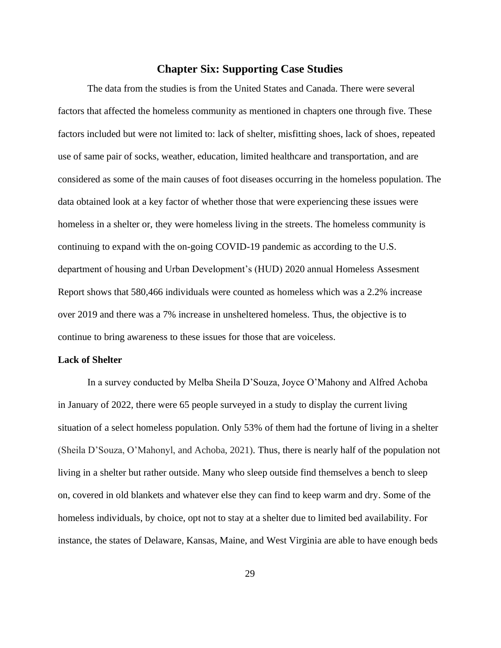# **Chapter Six: Supporting Case Studies**

The data from the studies is from the United States and Canada. There were several factors that affected the homeless community as mentioned in chapters one through five. These factors included but were not limited to: lack of shelter, misfitting shoes, lack of shoes, repeated use of same pair of socks, weather, education, limited healthcare and transportation, and are considered as some of the main causes of foot diseases occurring in the homeless population. The data obtained look at a key factor of whether those that were experiencing these issues were homeless in a shelter or, they were homeless living in the streets. The homeless community is continuing to expand with the on-going COVID-19 pandemic as according to the U.S. department of housing and Urban Development's (HUD) 2020 annual Homeless Assesment Report shows that 580,466 individuals were counted as homeless which was a 2.2% increase over 2019 and there was a 7% increase in unsheltered homeless. Thus, the objective is to continue to bring awareness to these issues for those that are voiceless.

## **Lack of Shelter**

In a survey conducted by Melba Sheila D'Souza, Joyce O'Mahony and Alfred Achoba in January of 2022, there were 65 people surveyed in a study to display the current living situation of a select homeless population. Only 53% of them had the fortune of living in a shelter (Sheila D'Souza, O'Mahonyl, and Achoba, 2021). Thus, there is nearly half of the population not living in a shelter but rather outside. Many who sleep outside find themselves a bench to sleep on, covered in old blankets and whatever else they can find to keep warm and dry. Some of the homeless individuals, by choice, opt not to stay at a shelter due to limited bed availability. For instance, the states of Delaware, Kansas, Maine, and West Virginia are able to have enough beds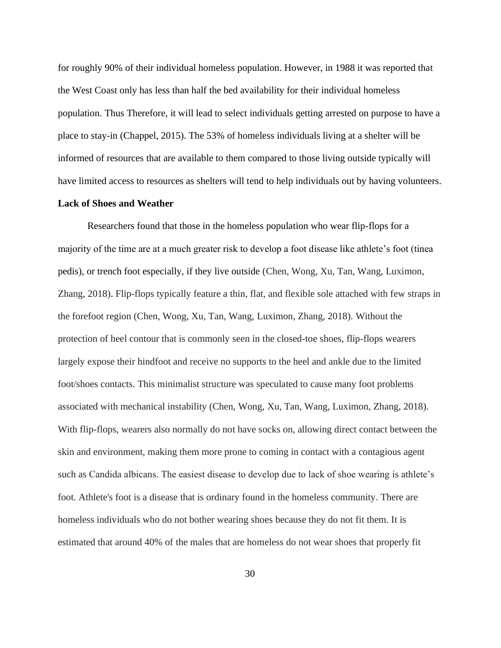for roughly 90% of their individual homeless population. However, in 1988 it was reported that the West Coast only has less than half the bed availability for their individual homeless population. Thus Therefore, it will lead to select individuals getting arrested on purpose to have a place to stay-in (Chappel, 2015). The 53% of homeless individuals living at a shelter will be informed of resources that are available to them compared to those living outside typically will have limited access to resources as shelters will tend to help individuals out by having volunteers.

#### **Lack of Shoes and Weather**

Researchers found that those in the homeless population who wear flip-flops for a majority of the time are at a much greater risk to develop a foot disease like athlete's foot (tinea pedis), or trench foot especially, if they live outside (Chen, Wong, Xu, Tan, Wang, Luximon, Zhang, 2018). Flip-flops typically feature a thin, flat, and flexible sole attached with few straps in the forefoot region (Chen, Wong, Xu, Tan, Wang, Luximon, Zhang, 2018). Without the protection of heel contour that is commonly seen in the closed-toe shoes, flip-flops wearers largely expose their hindfoot and receive no supports to the heel and ankle due to the limited foot/shoes contacts. This minimalist structure was speculated to cause many foot problems associated with mechanical instability (Chen, Wong, Xu, Tan, Wang, Luximon, Zhang, 2018). With flip-flops, wearers also normally do not have socks on, allowing direct contact between the skin and environment, making them more prone to coming in contact with a contagious agent such as Candida albicans. The easiest disease to develop due to lack of shoe wearing is athlete's foot. Athlete's foot is a disease that is ordinary found in the homeless community. There are homeless individuals who do not bother wearing shoes because they do not fit them. It is estimated that around 40% of the males that are homeless do not wear shoes that properly fit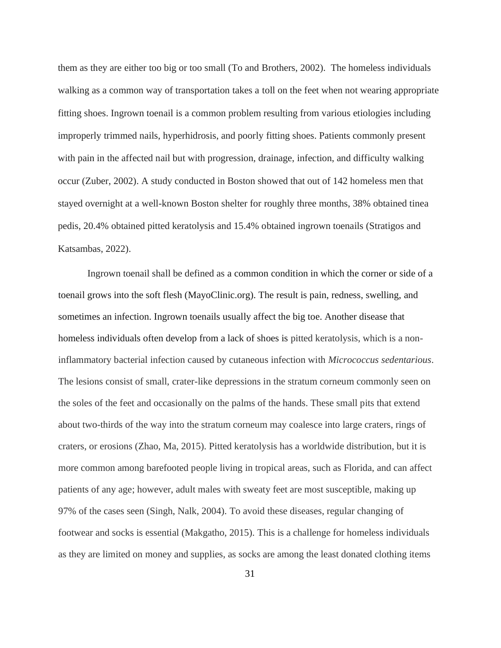them as they are either too big or too small (To and Brothers, 2002). The homeless individuals walking as a common way of transportation takes a toll on the feet when not wearing appropriate fitting shoes. Ingrown toenail is a common problem resulting from various etiologies including improperly trimmed nails, hyperhidrosis, and poorly fitting shoes. Patients commonly present with pain in the affected nail but with progression, drainage, infection, and difficulty walking occur (Zuber, 2002). A study conducted in Boston showed that out of 142 homeless men that stayed overnight at a well-known Boston shelter for roughly three months, 38% obtained tinea pedis, 20.4% obtained pitted keratolysis and 15.4% obtained ingrown toenails (Stratigos and Katsambas, 2022).

Ingrown toenail shall be defined as a common condition in which the corner or side of a toenail grows into the soft flesh (MayoClinic.org). The result is pain, redness, swelling, and sometimes an infection. Ingrown toenails usually affect the big toe. Another disease that homeless individuals often develop from a lack of shoes is pitted keratolysis, which is a noninflammatory bacterial infection caused by cutaneous infection with *Micrococcus sedentarious*. The lesions consist of small, crater-like depressions in the [stratum corneum](https://www.sciencedirect.com/topics/medicine-and-dentistry/stratum-corneum) commonly seen on the soles of the feet and occasionally on the palms of the hands. These small pits that extend about two-thirds of the way into the stratum corneum may coalesce into large craters, rings of craters, or erosions (Zhao, Ma, 2015). Pitted keratolysis has a worldwide distribution, but it is more common among barefooted people living in tropical areas, such as Florida, and can affect patients of any age; however, adult males with sweaty feet are most susceptible, making up 97% of the cases seen (Singh, Nalk, 2004). To avoid these diseases, regular changing of footwear and socks is essential (Makgatho, 2015). This is a challenge for homeless individuals as they are limited on money and supplies, as socks are among the least donated clothing items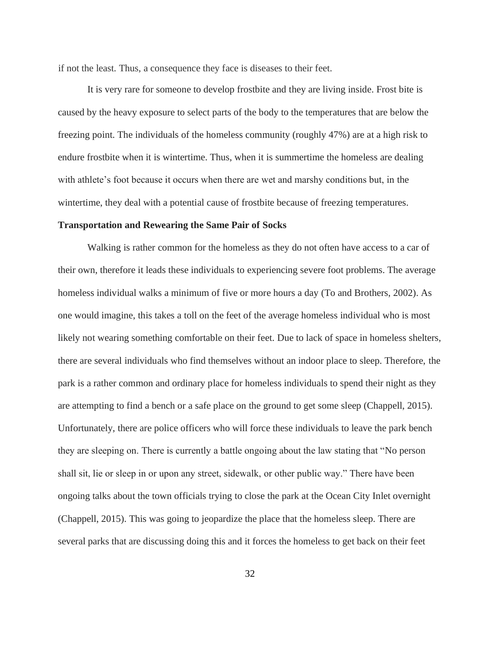if not the least. Thus, a consequence they face is diseases to their feet.

It is very rare for someone to develop frostbite and they are living inside. Frost bite is caused by the heavy exposure to select parts of the body to the temperatures that are below the freezing point. The individuals of the homeless community (roughly 47%) are at a high risk to endure frostbite when it is wintertime. Thus, when it is summertime the homeless are dealing with athlete's foot because it occurs when there are wet and marshy conditions but, in the wintertime, they deal with a potential cause of frostbite because of freezing temperatures.

#### **Transportation and Rewearing the Same Pair of Socks**

Walking is rather common for the homeless as they do not often have access to a car of their own, therefore it leads these individuals to experiencing severe foot problems. The average homeless individual walks a minimum of five or more hours a day (To and Brothers, 2002). As one would imagine, this takes a toll on the feet of the average homeless individual who is most likely not wearing something comfortable on their feet. Due to lack of space in homeless shelters, there are several individuals who find themselves without an indoor place to sleep. Therefore, the park is a rather common and ordinary place for homeless individuals to spend their night as they are attempting to find a bench or a safe place on the ground to get some sleep (Chappell, 2015). Unfortunately, there are police officers who will force these individuals to leave the park bench they are sleeping on. There is currently a battle ongoing about the law stating that "No person shall sit, lie or sleep in or upon any street, sidewalk, or other public way." There have been ongoing talks about the town officials trying to close the park at the Ocean City Inlet overnight (Chappell, 2015). This was going to jeopardize the place that the homeless sleep. There are several parks that are discussing doing this and it forces the homeless to get back on their feet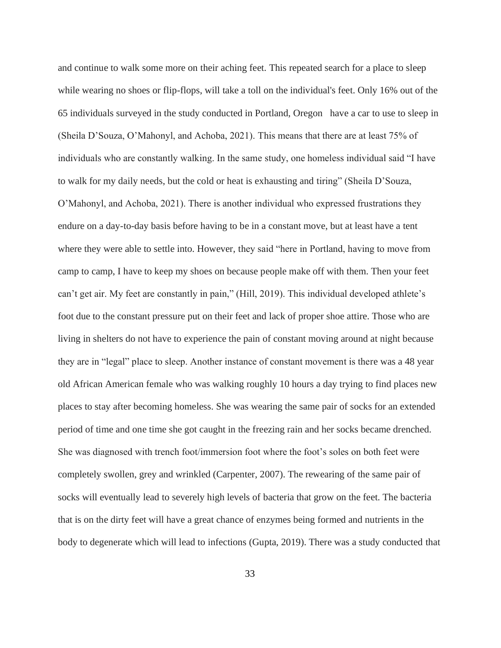and continue to walk some more on their aching feet. This repeated search for a place to sleep while wearing no shoes or flip-flops, will take a toll on the individual's feet. Only 16% out of the 65 individuals surveyed in the study conducted in Portland, Oregon have a car to use to sleep in (Sheila D'Souza, O'Mahonyl, and Achoba, 2021). This means that there are at least 75% of individuals who are constantly walking. In the same study, one homeless individual said "I have to walk for my daily needs, but the cold or heat is exhausting and tiring" (Sheila D'Souza, O'Mahonyl, and Achoba, 2021). There is another individual who expressed frustrations they endure on a day-to-day basis before having to be in a constant move, but at least have a tent where they were able to settle into. However, they said "here in Portland, having to move from camp to camp, I have to keep my shoes on because people make off with them. Then your feet can't get air. My feet are constantly in pain," (Hill, 2019). This individual developed athlete's foot due to the constant pressure put on their feet and lack of proper shoe attire. Those who are living in shelters do not have to experience the pain of constant moving around at night because they are in "legal" place to sleep. Another instance of constant movement is there was a 48 year old African American female who was walking roughly 10 hours a day trying to find places new places to stay after becoming homeless. She was wearing the same pair of socks for an extended period of time and one time she got caught in the freezing rain and her socks became drenched. She was diagnosed with trench foot/immersion foot where the foot's soles on both feet were completely swollen, grey and wrinkled (Carpenter, 2007). The rewearing of the same pair of socks will eventually lead to severely high levels of bacteria that grow on the feet. The bacteria that is on the dirty feet will have a great chance of enzymes being formed and nutrients in the body to degenerate which will lead to infections (Gupta, 2019). There was a study conducted that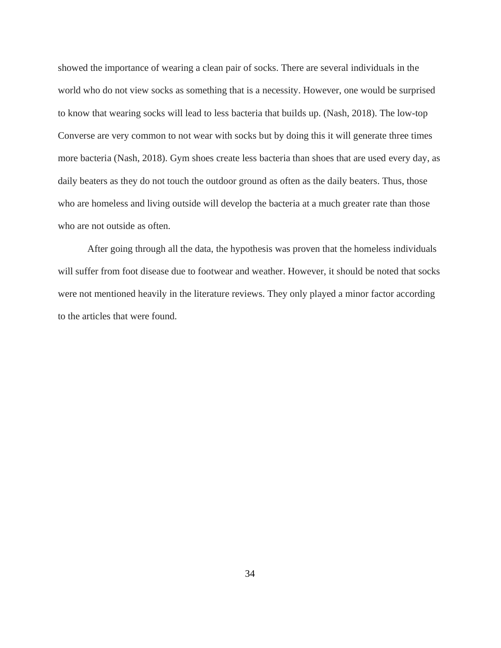showed the importance of wearing a clean pair of socks. There are several individuals in the world who do not view socks as something that is a necessity. However, one would be surprised to know that wearing socks will lead to less bacteria that builds up. (Nash, 2018). The low-top Converse are very common to not wear with socks but by doing this it will generate three times more bacteria (Nash, 2018). Gym shoes create less bacteria than shoes that are used every day, as daily beaters as they do not touch the outdoor ground as often as the daily beaters. Thus, those who are homeless and living outside will develop the bacteria at a much greater rate than those who are not outside as often.

After going through all the data, the hypothesis was proven that the homeless individuals will suffer from foot disease due to footwear and weather. However, it should be noted that socks were not mentioned heavily in the literature reviews. They only played a minor factor according to the articles that were found.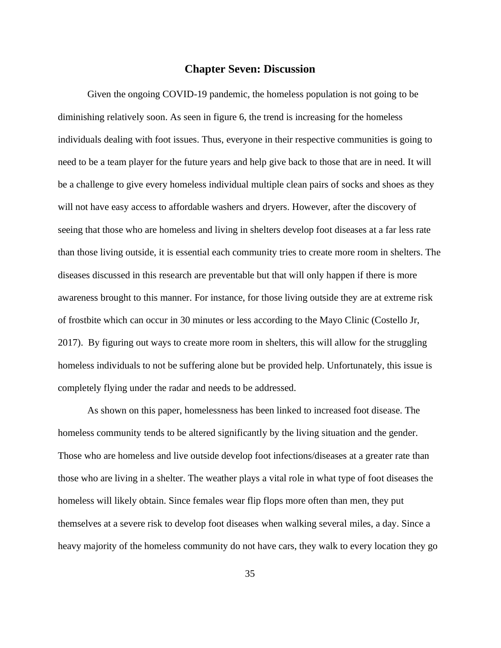# **Chapter Seven: Discussion**

Given the ongoing COVID-19 pandemic, the homeless population is not going to be diminishing relatively soon. As seen in figure 6, the trend is increasing for the homeless individuals dealing with foot issues. Thus, everyone in their respective communities is going to need to be a team player for the future years and help give back to those that are in need. It will be a challenge to give every homeless individual multiple clean pairs of socks and shoes as they will not have easy access to affordable washers and dryers. However, after the discovery of seeing that those who are homeless and living in shelters develop foot diseases at a far less rate than those living outside, it is essential each community tries to create more room in shelters. The diseases discussed in this research are preventable but that will only happen if there is more awareness brought to this manner. For instance, for those living outside they are at extreme risk of frostbite which can occur in 30 minutes or less according to the Mayo Clinic (Costello Jr, 2017). By figuring out ways to create more room in shelters, this will allow for the struggling homeless individuals to not be suffering alone but be provided help. Unfortunately, this issue is completely flying under the radar and needs to be addressed.

As shown on this paper, homelessness has been linked to increased foot disease. The homeless community tends to be altered significantly by the living situation and the gender. Those who are homeless and live outside develop foot infections/diseases at a greater rate than those who are living in a shelter. The weather plays a vital role in what type of foot diseases the homeless will likely obtain. Since females wear flip flops more often than men, they put themselves at a severe risk to develop foot diseases when walking several miles, a day. Since a heavy majority of the homeless community do not have cars, they walk to every location they go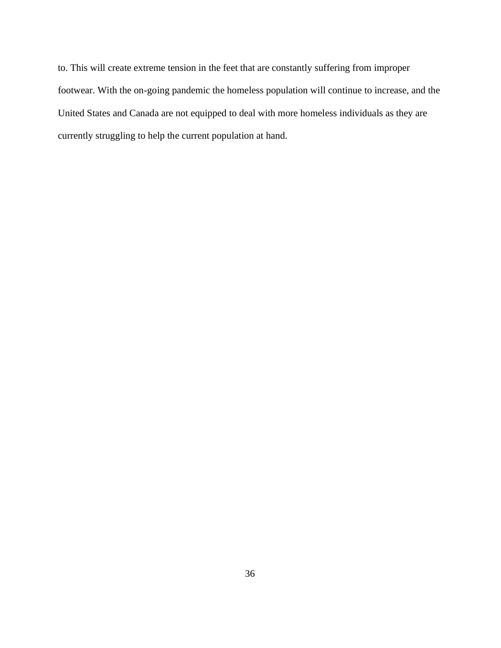to. This will create extreme tension in the feet that are constantly suffering from improper footwear. With the on-going pandemic the homeless population will continue to increase, and the United States and Canada are not equipped to deal with more homeless individuals as they are currently struggling to help the current population at hand.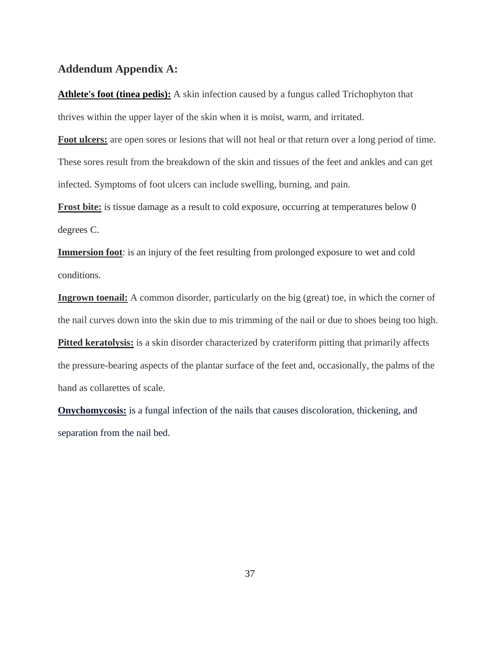# **Addendum Appendix A:**

**[Athlete's foot](https://www.medicinenet.com/athletes_foot/article.htm) (tinea pedis):** A [skin infection](https://www.medicinenet.com/impetigo/article.htm) caused by a fungus called Trichophyton that thrives within the upper layer of the skin when it is moist, warm, and irritated.

**Foot ulcers:** are open sores or lesions that will not heal or that return over a long period of time. These sores result from the breakdown of the skin and tissues of the feet and ankles and can get infected. Symptoms of foot ulcers can include swelling, burning, and pain.

**Frost bite:** is tissue damage as a result to cold exposure, occurring at temperatures below 0 degrees C.

**Immersion foot**: is an injury of the feet resulting from prolonged exposure to wet and cold conditions.

**Ingrown toenail:** A common disorder, particularly on the big (great) toe, in which the corner of the nail curves down into the skin due to mis trimming of the nail or due to shoes being too high. **Pitted keratolysis:** is a skin disorder characterized by crateriform pitting that primarily affects the pressure-bearing aspects of the plantar surface of the feet and, occasionally, the palms of the hand as collarettes of scale.

**Onychomycosis:** is a fungal infection of the nails that causes discoloration, thickening, and separation from the nail bed.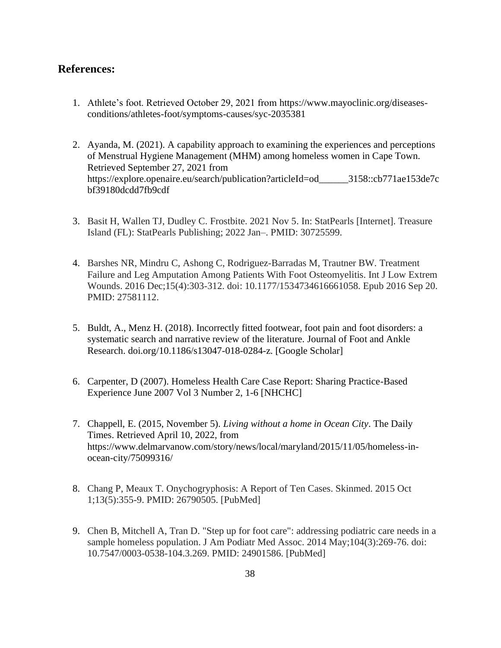## **References:**

- 1. Athlete's foot. Retrieved October 29, 2021 fro[m](https://www.mayoclinic.org/diseases-conditions/athletes-foot/symptoms-causes/syc-20353841) [https://www.mayoclinic.org/diseases](https://www.mayoclinic.org/diseases-conditions/athletes-foot/symptoms-causes/syc-2035381)[conditions/athletes-foot/symptoms-causes/syc-2035381](https://www.mayoclinic.org/diseases-conditions/athletes-foot/symptoms-causes/syc-2035381)
- 2. Ayanda, M. (2021). A capability approach to examining the experiences and perceptions of Menstrual Hygiene Management (MHM) among homeless women in Cape Town. Retrieved September 27, 2021 from [https://explore.openaire.eu/search/publication?articleId=od\\_\\_\\_\\_\\_\\_3158::cb771ae153de7c](https://explore.openaire.eu/search/publication?articleId=od______3158::cb771ae153de7cbf39180dcdd7fb9cdf) [bf39180dcdd7fb9cdf](https://explore.openaire.eu/search/publication?articleId=od______3158::cb771ae153de7cbf39180dcdd7fb9cdf)
- 3. Basit H, Wallen TJ, Dudley C. Frostbite. 2021 Nov 5. In: StatPearls [Internet]. Treasure Island (FL): StatPearls Publishing; 2022 Jan–. PMID: 30725599.
- 4. Barshes NR, Mindru C, Ashong C, Rodriguez-Barradas M, Trautner BW. Treatment Failure and Leg Amputation Among Patients With Foot Osteomyelitis. Int J Low Extrem Wounds. 2016 Dec;15(4):303-312. doi: 10.1177/1534734616661058. Epub 2016 Sep 20. PMID: 27581112.
- 5. Buldt, A., Menz H. (2018). Incorrectly fitted footwear, foot pain and foot disorders: a systematic search and narrative review of the literature[.](https://jfootankleres.biomedcentral.com/) [Journal of Foot and Ankle](https://jfootankleres.biomedcentral.com/)  [Research.](https://jfootankleres.biomedcentral.com/) [doi.org/10.1186/s13047-018-0284-z.](https://doi.org/10.1186/s13047-018-0284-z) [Google Scholar]
- 6. Carpenter, D (2007). Homeless Health Care Case Report: Sharing Practice-Based Experience June 2007 Vol 3 Number 2, 1-6 [NHCHC]
- 7. Chappell, E. (2015, November 5). *Living without a home in Ocean City*. The Daily Times. Retrieved April 10, 2022, from https://www.delmarvanow.com/story/news/local/maryland/2015/11/05/homeless-inocean-city/75099316/
- 8. Chang P, Meaux T. Onychogryphosis: A Report of Ten Cases. Skinmed. 2015 Oct 1;13(5):355-9. PMID: 26790505. [PubMed]
- 9. Chen B, Mitchell A, Tran D. "Step up for foot care": addressing podiatric care needs in a sample homeless population. J Am Podiatr Med Assoc. 2014 May;104(3):269-76. doi: 10.7547/0003-0538-104.3.269. PMID: 24901586. [PubMed]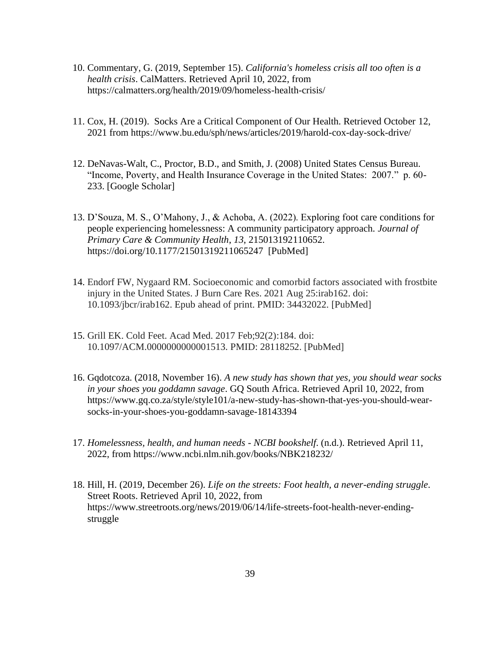- 10. Commentary, G. (2019, September 15). *California's homeless crisis all too often is a health crisis*. CalMatters. Retrieved April 10, 2022, from https://calmatters.org/health/2019/09/homeless-health-crisis/
- 11. Cox, H. (2019). Socks Are a Critical Component of Our Health. Retrieved October 12, 2021 fro[m](https://www.bu.edu/sph/news/articles/2019/harold-cox-day-sock-drive/) <https://www.bu.edu/sph/news/articles/2019/harold-cox-day-sock-drive/>
- 12. DeNavas-Walt, C., Proctor, B.D., and Smith, J. (2008) United States Census Bureau. "Income, Poverty, and Health Insurance Coverage in the United States: 2007." p. 60- 233. [Google Scholar]
- 13. D'Souza, M. S., O'Mahony, J., & Achoba, A. (2022). Exploring foot care conditions for people experiencing homelessness: A community participatory approach. *Journal of Primary Care & Community Health*, *13*, 215013192110652. https://doi.org/10.1177/21501319211065247 [PubMed]
- 14. Endorf FW, Nygaard RM. Socioeconomic and comorbid factors associated with frostbite injury in the United States. J Burn Care Res. 2021 Aug 25:irab162. doi: 10.1093/jbcr/irab162. Epub ahead of print. PMID: 34432022. [PubMed]
- 15. Grill EK. Cold Feet. Acad Med. 2017 Feb;92(2):184. doi: 10.1097/ACM.0000000000001513. PMID: 28118252. [PubMed]
- 16. Gqdotcoza. (2018, November 16). *A new study has shown that yes, you should wear socks in your shoes you goddamn savage*. GQ South Africa. Retrieved April 10, 2022, from https://www.gq.co.za/style/style101/a-new-study-has-shown-that-yes-you-should-wearsocks-in-your-shoes-you-goddamn-savage-18143394
- 17. *Homelessness, health, and human needs - NCBI bookshelf*. (n.d.). Retrieved April 11, 2022, from https://www.ncbi.nlm.nih.gov/books/NBK218232/
- 18. Hill, H. (2019, December 26). *Life on the streets: Foot health, a never-ending struggle*. Street Roots. Retrieved April 10, 2022, from https://www.streetroots.org/news/2019/06/14/life-streets-foot-health-never-endingstruggle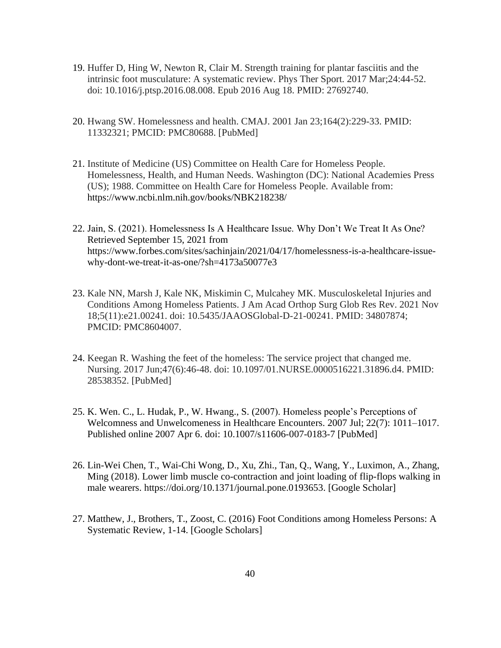- 19. Huffer D, Hing W, Newton R, Clair M. Strength training for plantar fasciitis and the intrinsic foot musculature: A systematic review. Phys Ther Sport. 2017 Mar;24:44-52. doi: 10.1016/j.ptsp.2016.08.008. Epub 2016 Aug 18. PMID: 27692740.
- 20. Hwang SW. Homelessness and health. CMAJ. 2001 Jan 23;164(2):229-33. PMID: 11332321; PMCID: PMC80688. [PubMed]
- 21. Institute of Medicine (US) Committee on Health Care for Homeless People. Homelessness, Health, and Human Needs. Washington (DC): National Academies Press (US); 1988. Committee on Health Care for Homeless People. Available from: <https://www.ncbi.nlm.nih.gov/books/NBK218238/>
- 22. Jain, S. (2021). Homelessness Is A Healthcare Issue. Why Don't We Treat It As One? Retrieved September 15, 2021 fro[m](https://www.forbes.com/sites/sachinjain/2021/04/17/homelessness-is-a-healthcare-issue-why-dont-we-treat-it-as-one/?sh=4173a50077e3) [https://www.forbes.com/sites/sachinjain/2021/04/17/homelessness-is-a-healthcare-issue](https://www.forbes.com/sites/sachinjain/2021/04/17/homelessness-is-a-healthcare-issue-why-dont-we-treat-it-as-one/?sh=4173a50077e3)[why-dont-we-treat-it-as-one/?sh=4173a50077e3](https://www.forbes.com/sites/sachinjain/2021/04/17/homelessness-is-a-healthcare-issue-why-dont-we-treat-it-as-one/?sh=4173a50077e3)
- 23. Kale NN, Marsh J, Kale NK, Miskimin C, Mulcahey MK. Musculoskeletal Injuries and Conditions Among Homeless Patients. J Am Acad Orthop Surg Glob Res Rev. 2021 Nov 18;5(11):e21.00241. doi: 10.5435/JAAOSGlobal-D-21-00241. PMID: 34807874; PMCID: PMC8604007.
- 24. Keegan R. Washing the feet of the homeless: The service project that changed me. Nursing. 2017 Jun;47(6):46-48. doi: 10.1097/01.NURSE.0000516221.31896.d4. PMID: 28538352. [PubMed]
- 25. K. Wen. C., L. Hudak, P., W. Hwang., S. (2007). Homeless people's Perceptions of Welcomness and Unwelcomeness in Healthcare Encounters. 2007 Jul; 22(7): 1011–1017. Published online 2007 Apr 6. doi: [10.1007/s11606-007-0183-7](https://dx.doi.org/10.1007%2Fs11606-007-0183-7) [PubMed]
- 26. Lin-Wei Chen, T., Wai-Chi Wong, D., Xu, Zhi., Tan, Q., Wang, Y., Luximon, A., Zhang, Ming (2018). Lower limb muscle co-contraction and joint loading of flip-flops walking in male wearers. [https://doi.org/10.1371/journal.pone.0193653.](https://doi.org/10.1371/journal.pone.0193653) [Google Scholar]
- 27. Matthew, J., Brothers, T., Zoost, C. (2016) Foot Conditions among Homeless Persons: A Systematic Review, 1-14. [Google Scholars]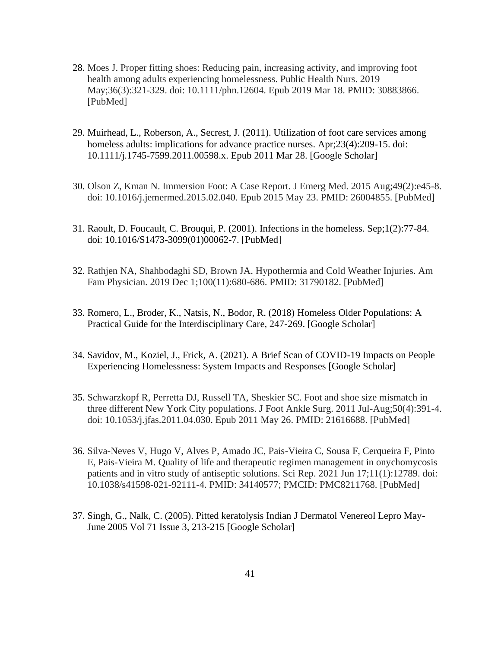- 28. Moes J. Proper fitting shoes: Reducing pain, increasing activity, and improving foot health among adults experiencing homelessness. Public Health Nurs. 2019 May;36(3):321-329. doi: 10.1111/phn.12604. Epub 2019 Mar 18. PMID: 30883866. [PubMed]
- 29. Muirhead, L., Roberson, A., Secrest, J. (2011). Utilization of foot care services among homeless adults: implications for advance practice nurses. Apr;23(4):209-15. doi: 10.1111/j.1745-7599.2011.00598.x. Epub 2011 Mar 28. [Google Scholar]
- 30. Olson Z, Kman N. Immersion Foot: A Case Report. J Emerg Med. 2015 Aug;49(2):e45-8. doi: 10.1016/j.jemermed.2015.02.040. Epub 2015 May 23. PMID: 26004855. [PubMed]
- 31. Raoult, D. Foucault, C. Brouqui, P. (2001). Infections in the homeless. Sep;1(2):77-84. doi: 10.1016/S1473-3099(01)00062-7. [PubMed]
- 32. Rathjen NA, Shahbodaghi SD, Brown JA. Hypothermia and Cold Weather Injuries. Am Fam Physician. 2019 Dec 1;100(11):680-686. PMID: 31790182. [PubMed]
- 33. Romero, L., Broder, K., Natsis, N., Bodor, R. (2018) Homeless Older Populations: A Practical Guide for the Interdisciplinary Care, 247-269. [Google Scholar]
- 34. Savidov, M., Koziel, J., Frick, A. (2021). A Brief Scan of COVID-19 Impacts on People Experiencing Homelessness: System Impacts and Responses [Google Scholar]
- 35. Schwarzkopf R, Perretta DJ, Russell TA, Sheskier SC. Foot and shoe size mismatch in three different New York City populations. J Foot Ankle Surg. 2011 Jul-Aug;50(4):391-4. doi: 10.1053/j.jfas.2011.04.030. Epub 2011 May 26. PMID: 21616688. [PubMed]
- 36. Silva-Neves V, Hugo V, Alves P, Amado JC, Pais-Vieira C, Sousa F, Cerqueira F, Pinto E, Pais-Vieira M. Quality of life and therapeutic regimen management in onychomycosis patients and in vitro study of antiseptic solutions. Sci Rep. 2021 Jun 17;11(1):12789. doi: 10.1038/s41598-021-92111-4. PMID: 34140577; PMCID: PMC8211768. [PubMed]
- 37. Singh, G., Nalk, C. (2005). Pitted keratolysis Indian J Dermatol Venereol Lepro May-June 2005 Vol 71 Issue 3, 213-215 [Google Scholar]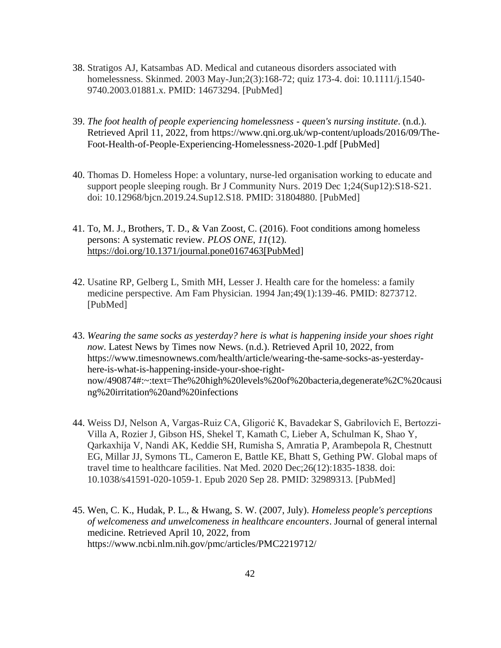- 38. Stratigos AJ, Katsambas AD. Medical and cutaneous disorders associated with homelessness. Skinmed. 2003 May-Jun;2(3):168-72; quiz 173-4. doi: 10.1111/j.1540- 9740.2003.01881.x. PMID: 14673294. [PubMed]
- 39. *The foot health of people experiencing homelessness - queen's nursing institute*. (n.d.). Retrieved April 11, 2022, from https://www.qni.org.uk/wp-content/uploads/2016/09/The-Foot-Health-of-People-Experiencing-Homelessness-2020-1.pdf [PubMed]
- 40. Thomas D. Homeless Hope: a voluntary, nurse-led organisation working to educate and support people sleeping rough. Br J Community Nurs. 2019 Dec 1;24(Sup12):S18-S21. doi: 10.12968/bjcn.2019.24.Sup12.S18. PMID: 31804880. [PubMed]
- 41. To, M. J., Brothers, T. D., & Van Zoost, C. (2016). Foot conditions among homeless persons: A systematic review. *PLOS ONE*, *11*(12). [https://doi.org/10.1371/journal.pone0167463\[PubMed\]](https://doi.org/10.1371/journal.pone0167463%5bPubMed)
- 42. Usatine RP, Gelberg L, Smith MH, Lesser J. Health care for the homeless: a family medicine perspective. Am Fam Physician. 1994 Jan;49(1):139-46. PMID: 8273712. [PubMed]
- 43. *Wearing the same socks as yesterday? here is what is happening inside your shoes right now*. Latest News by Times now News. (n.d.). Retrieved April 10, 2022, from https://www.timesnownews.com/health/article/wearing-the-same-socks-as-yesterdayhere-is-what-is-happening-inside-your-shoe-rightnow/490874#:~:text=The%20high%20levels%20of%20bacteria,degenerate%2C%20causi ng%20irritation%20and%20infections
- 44. Weiss DJ, Nelson A, Vargas-Ruiz CA, Gligorić K, Bavadekar S, Gabrilovich E, Bertozzi-Villa A, Rozier J, Gibson HS, Shekel T, Kamath C, Lieber A, Schulman K, Shao Y, Qarkaxhija V, Nandi AK, Keddie SH, Rumisha S, Amratia P, Arambepola R, Chestnutt EG, Millar JJ, Symons TL, Cameron E, Battle KE, Bhatt S, Gething PW. Global maps of travel time to healthcare facilities. Nat Med. 2020 Dec;26(12):1835-1838. doi: 10.1038/s41591-020-1059-1. Epub 2020 Sep 28. PMID: 32989313. [PubMed]
- 45. Wen, C. K., Hudak, P. L., & Hwang, S. W. (2007, July). *Homeless people's perceptions of welcomeness and unwelcomeness in healthcare encounters*. Journal of general internal medicine. Retrieved April 10, 2022, from https://www.ncbi.nlm.nih.gov/pmc/articles/PMC2219712/